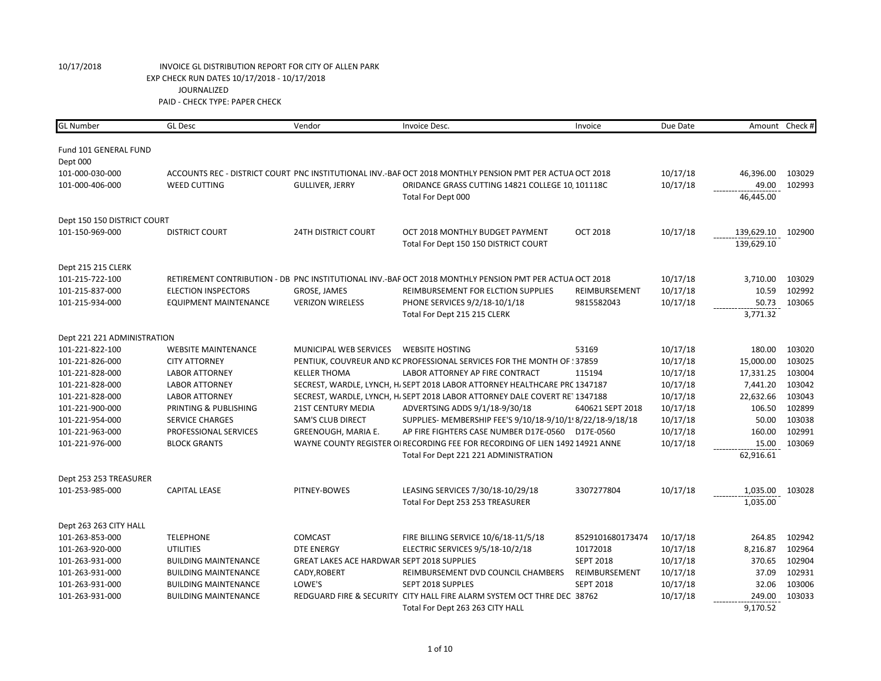| <b>GL</b> Number            | <b>GL Desc</b>              | Vendor                                     | Invoice Desc.                                                                                            | Invoice          | Due Date | Amount Check # |        |
|-----------------------------|-----------------------------|--------------------------------------------|----------------------------------------------------------------------------------------------------------|------------------|----------|----------------|--------|
| Fund 101 GENERAL FUND       |                             |                                            |                                                                                                          |                  |          |                |        |
| Dept 000                    |                             |                                            |                                                                                                          |                  |          |                |        |
| 101-000-030-000             |                             |                                            | ACCOUNTS REC - DISTRICT COURT PNC INSTITUTIONAL INV.-BAF OCT 2018 MONTHLY PENSION PMT PER ACTUA OCT 2018 |                  | 10/17/18 | 46,396.00      | 103029 |
| 101-000-406-000             | <b>WEED CUTTING</b>         | <b>GULLIVER, JERRY</b>                     | ORIDANCE GRASS CUTTING 14821 COLLEGE 10, 101118C                                                         |                  | 10/17/18 | 49.00          | 102993 |
|                             |                             |                                            | Total For Dept 000                                                                                       |                  |          | 46,445.00      |        |
| Dept 150 150 DISTRICT COURT |                             |                                            |                                                                                                          |                  |          |                |        |
| 101-150-969-000             | <b>DISTRICT COURT</b>       | <b>24TH DISTRICT COURT</b>                 | OCT 2018 MONTHLY BUDGET PAYMENT                                                                          | <b>OCT 2018</b>  | 10/17/18 | 139,629.10     | 102900 |
|                             |                             |                                            | Total For Dept 150 150 DISTRICT COURT                                                                    |                  |          | 139,629.10     |        |
| Dept 215 215 CLERK          |                             |                                            |                                                                                                          |                  |          |                |        |
| 101-215-722-100             |                             |                                            | RETIREMENT CONTRIBUTION - DB PNC INSTITUTIONAL INV.-BAF OCT 2018 MONTHLY PENSION PMT PER ACTUA OCT 2018  |                  | 10/17/18 | 3,710.00       | 103029 |
| 101-215-837-000             | <b>ELECTION INSPECTORS</b>  | GROSE, JAMES                               | REIMBURSEMENT FOR ELCTION SUPPLIES                                                                       | REIMBURSEMENT    | 10/17/18 | 10.59          | 102992 |
| 101-215-934-000             | EQUIPMENT MAINTENANCE       | <b>VERIZON WIRELESS</b>                    | PHONE SERVICES 9/2/18-10/1/18                                                                            | 9815582043       | 10/17/18 | 50.73          | 103065 |
|                             |                             |                                            | Total For Dept 215 215 CLERK                                                                             |                  |          | 3,771.32       |        |
| Dept 221 221 ADMINISTRATION |                             |                                            |                                                                                                          |                  |          |                |        |
| 101-221-822-100             | <b>WEBSITE MAINTENANCE</b>  | MUNICIPAL WEB SERVICES                     | <b>WEBSITE HOSTING</b>                                                                                   | 53169            | 10/17/18 | 180.00         | 103020 |
| 101-221-826-000             | <b>CITY ATTORNEY</b>        |                                            | PENTIUK, COUVREUR AND KC PROFESSIONAL SERVICES FOR THE MONTH OF : 37859                                  |                  | 10/17/18 | 15,000.00      | 103025 |
| 101-221-828-000             | <b>LABOR ATTORNEY</b>       | <b>KELLER THOMA</b>                        | LABOR ATTORNEY AP FIRE CONTRACT                                                                          | 115194           | 10/17/18 | 17,331.25      | 103004 |
| 101-221-828-000             | <b>LABOR ATTORNEY</b>       |                                            | SECREST, WARDLE, LYNCH, H. SEPT 2018 LABOR ATTORNEY HEALTHCARE PRC 1347187                               |                  | 10/17/18 | 7,441.20       | 103042 |
| 101-221-828-000             | <b>LABOR ATTORNEY</b>       |                                            | SECREST, WARDLE, LYNCH, H. SEPT 2018 LABOR ATTORNEY DALE COVERT RET 1347188                              |                  | 10/17/18 | 22,632.66      | 103043 |
| 101-221-900-000             | PRINTING & PUBLISHING       | <b>21ST CENTURY MEDIA</b>                  | ADVERTSING ADDS 9/1/18-9/30/18                                                                           | 640621 SEPT 2018 | 10/17/18 | 106.50         | 102899 |
| 101-221-954-000             | <b>SERVICE CHARGES</b>      | <b>SAM'S CLUB DIRECT</b>                   | SUPPLIES- MEMBERSHIP FEE'S 9/10/18-9/10/1! 8/22/18-9/18/18                                               |                  | 10/17/18 | 50.00          | 103038 |
| 101-221-963-000             | PROFESSIONAL SERVICES       | GREENOUGH, MARIA E.                        | AP FIRE FIGHTERS CASE NUMBER D17E-0560                                                                   | D17E-0560        | 10/17/18 | 160.00         | 102991 |
| 101-221-976-000             | <b>BLOCK GRANTS</b>         |                                            | WAYNE COUNTY REGISTER OI RECORDING FEE FOR RECORDING OF LIEN 1492 14921 ANNE                             |                  | 10/17/18 | 15.00          | 103069 |
|                             |                             |                                            | Total For Dept 221 221 ADMINISTRATION                                                                    |                  |          | 62,916.61      |        |
| Dept 253 253 TREASURER      |                             |                                            |                                                                                                          |                  |          |                |        |
| 101-253-985-000             | <b>CAPITAL LEASE</b>        | PITNEY-BOWES                               | LEASING SERVICES 7/30/18-10/29/18                                                                        | 3307277804       | 10/17/18 | 1,035.00       | 103028 |
|                             |                             |                                            | Total For Dept 253 253 TREASURER                                                                         |                  |          | 1,035.00       |        |
| Dept 263 263 CITY HALL      |                             |                                            |                                                                                                          |                  |          |                |        |
| 101-263-853-000             | <b>TELEPHONE</b>            | <b>COMCAST</b>                             | FIRE BILLING SERVICE 10/6/18-11/5/18                                                                     | 8529101680173474 | 10/17/18 | 264.85         | 102942 |
| 101-263-920-000             | <b>UTILITIES</b>            | <b>DTE ENERGY</b>                          | ELECTRIC SERVICES 9/5/18-10/2/18                                                                         | 10172018         | 10/17/18 | 8,216.87       | 102964 |
| 101-263-931-000             | <b>BUILDING MAINTENANCE</b> | GREAT LAKES ACE HARDWAR SEPT 2018 SUPPLIES |                                                                                                          | <b>SEPT 2018</b> | 10/17/18 | 370.65         | 102904 |
| 101-263-931-000             | <b>BUILDING MAINTENANCE</b> | CADY, ROBERT                               | REIMBURSEMENT DVD COUNCIL CHAMBERS                                                                       | REIMBURSEMENT    | 10/17/18 | 37.09          | 102931 |
| 101-263-931-000             | <b>BUILDING MAINTENANCE</b> | LOWE'S                                     | SEPT 2018 SUPPLES                                                                                        | <b>SEPT 2018</b> | 10/17/18 | 32.06          | 103006 |
| 101-263-931-000             | <b>BUILDING MAINTENANCE</b> |                                            | REDGUARD FIRE & SECURITY CITY HALL FIRE ALARM SYSTEM OCT THRE DEC 38762                                  |                  | 10/17/18 | 249.00         | 103033 |
|                             |                             |                                            | Total For Dept 263 263 CITY HALL                                                                         |                  |          | 9,170.52       |        |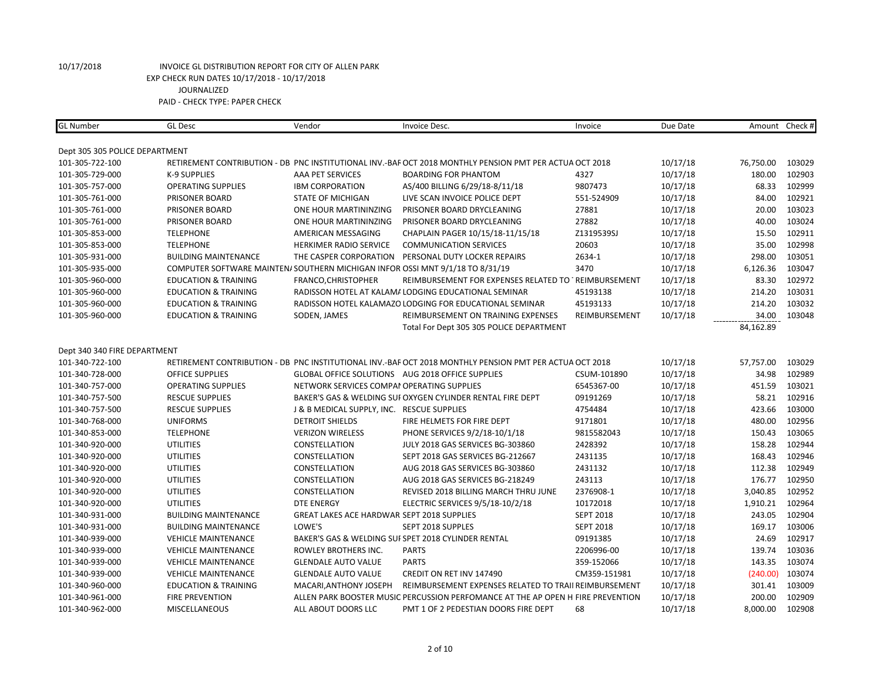| <b>GL Number</b>               | <b>GL Desc</b>                  | Vendor                                                                        | Invoice Desc.                                                                                           | Invoice          | Due Date |           | Amount Check # |
|--------------------------------|---------------------------------|-------------------------------------------------------------------------------|---------------------------------------------------------------------------------------------------------|------------------|----------|-----------|----------------|
| Dept 305 305 POLICE DEPARTMENT |                                 |                                                                               |                                                                                                         |                  |          |           |                |
| 101-305-722-100                |                                 |                                                                               | RETIREMENT CONTRIBUTION - DB PNC INSTITUTIONAL INV.-BAF OCT 2018 MONTHLY PENSION PMT PER ACTUA OCT 2018 |                  | 10/17/18 | 76,750.00 | 103029         |
| 101-305-729-000                | K-9 SUPPLIES                    | <b>AAA PET SERVICES</b>                                                       | <b>BOARDING FOR PHANTOM</b>                                                                             | 4327             | 10/17/18 | 180.00    | 102903         |
| 101-305-757-000                | <b>OPERATING SUPPLIES</b>       | <b>IBM CORPORATION</b>                                                        | AS/400 BILLING 6/29/18-8/11/18                                                                          | 9807473          | 10/17/18 | 68.33     | 102999         |
| 101-305-761-000                | PRISONER BOARD                  | STATE OF MICHIGAN                                                             | LIVE SCAN INVOICE POLICE DEPT                                                                           | 551-524909       | 10/17/18 | 84.00     | 102921         |
| 101-305-761-000                | PRISONER BOARD                  | ONE HOUR MARTININZING                                                         | PRISONER BOARD DRYCLEANING                                                                              | 27881            | 10/17/18 | 20.00     | 103023         |
| 101-305-761-000                | PRISONER BOARD                  | ONE HOUR MARTININZING                                                         | PRISONER BOARD DRYCLEANING                                                                              | 27882            | 10/17/18 | 40.00     | 103024         |
| 101-305-853-000                | <b>TELEPHONE</b>                | AMERICAN MESSAGING                                                            | CHAPLAIN PAGER 10/15/18-11/15/18                                                                        | Z1319539SJ       | 10/17/18 | 15.50     | 102911         |
| 101-305-853-000                | <b>TELEPHONE</b>                | HERKIMER RADIO SERVICE                                                        | <b>COMMUNICATION SERVICES</b>                                                                           | 20603            | 10/17/18 | 35.00     | 102998         |
| 101-305-931-000                | <b>BUILDING MAINTENANCE</b>     | THE CASPER CORPORATION                                                        | PERSONAL DUTY LOCKER REPAIRS                                                                            | 2634-1           | 10/17/18 | 298.00    | 103051         |
| 101-305-935-000                |                                 | COMPUTER SOFTWARE MAINTEN/ SOUTHERN MICHIGAN INFOR OSSI MNT 9/1/18 TO 8/31/19 |                                                                                                         | 3470             | 10/17/18 | 6,126.36  | 103047         |
| 101-305-960-000                | <b>EDUCATION &amp; TRAINING</b> | FRANCO, CHRISTOPHER                                                           | REIMBURSEMENT FOR EXPENSES RELATED TO TREIMBURSEMENT                                                    |                  | 10/17/18 | 83.30     | 102972         |
| 101-305-960-000                | <b>EDUCATION &amp; TRAINING</b> |                                                                               | RADISSON HOTEL AT KALAM/ LODGING EDUCATIONAL SEMINAR                                                    | 45193138         | 10/17/18 | 214.20    | 103031         |
| 101-305-960-000                | <b>EDUCATION &amp; TRAINING</b> |                                                                               | RADISSON HOTEL KALAMAZO LODGING FOR EDUCATIONAL SEMINAR                                                 | 45193133         | 10/17/18 | 214.20    | 103032         |
| 101-305-960-000                | <b>EDUCATION &amp; TRAINING</b> | SODEN, JAMES                                                                  | REIMBURSEMENT ON TRAINING EXPENSES                                                                      | REIMBURSEMENT    | 10/17/18 | 34.00     | 103048         |
|                                |                                 |                                                                               | Total For Dept 305 305 POLICE DEPARTMENT                                                                |                  |          | 84,162.89 |                |
|                                |                                 |                                                                               |                                                                                                         |                  |          |           |                |
| Dept 340 340 FIRE DEPARTMENT   |                                 |                                                                               |                                                                                                         |                  |          |           |                |
| 101-340-722-100                |                                 |                                                                               | RETIREMENT CONTRIBUTION - DB PNC INSTITUTIONAL INV.-BAF OCT 2018 MONTHLY PENSION PMT PER ACTUA OCT 2018 |                  | 10/17/18 | 57,757.00 | 103029         |
| 101-340-728-000                | <b>OFFICE SUPPLIES</b>          | GLOBAL OFFICE SOLUTIONS AUG 2018 OFFICE SUPPLIES                              |                                                                                                         | CSUM-101890      | 10/17/18 | 34.98     | 102989         |
| 101-340-757-000                | <b>OPERATING SUPPLIES</b>       | NETWORK SERVICES COMPAI OPERATING SUPPLIES                                    |                                                                                                         | 6545367-00       | 10/17/18 | 451.59    | 103021         |
| 101-340-757-500                | <b>RESCUE SUPPLIES</b>          |                                                                               | BAKER'S GAS & WELDING SUI OXYGEN CYLINDER RENTAL FIRE DEPT                                              | 09191269         | 10/17/18 | 58.21     | 102916         |
| 101-340-757-500                | <b>RESCUE SUPPLIES</b>          | J & B MEDICAL SUPPLY, INC. RESCUE SUPPLIES                                    |                                                                                                         | 4754484          | 10/17/18 | 423.66    | 103000         |
| 101-340-768-000                | <b>UNIFORMS</b>                 | <b>DETROIT SHIELDS</b>                                                        | FIRE HELMETS FOR FIRE DEPT                                                                              | 9171801          | 10/17/18 | 480.00    | 102956         |
| 101-340-853-000                | <b>TELEPHONE</b>                | <b>VERIZON WIRELESS</b>                                                       | PHONE SERVICES 9/2/18-10/1/18                                                                           | 9815582043       | 10/17/18 | 150.43    | 103065         |
| 101-340-920-000                | <b>UTILITIES</b>                | CONSTELLATION                                                                 | JULY 2018 GAS SERVICES BG-303860                                                                        | 2428392          | 10/17/18 | 158.28    | 102944         |
| 101-340-920-000                | <b>UTILITIES</b>                | <b>CONSTELLATION</b>                                                          | SEPT 2018 GAS SERVICES BG-212667                                                                        | 2431135          | 10/17/18 | 168.43    | 102946         |
| 101-340-920-000                | <b>UTILITIES</b>                | CONSTELLATION                                                                 | AUG 2018 GAS SERVICES BG-303860                                                                         | 2431132          | 10/17/18 | 112.38    | 102949         |
| 101-340-920-000                | <b>UTILITIES</b>                | CONSTELLATION                                                                 | AUG 2018 GAS SERVICES BG-218249                                                                         | 243113           | 10/17/18 | 176.77    | 102950         |
| 101-340-920-000                | <b>UTILITIES</b>                | CONSTELLATION                                                                 | REVISED 2018 BILLING MARCH THRU JUNE                                                                    | 2376908-1        | 10/17/18 | 3,040.85  | 102952         |
| 101-340-920-000                | <b>UTILITIES</b>                | <b>DTE ENERGY</b>                                                             | ELECTRIC SERVICES 9/5/18-10/2/18                                                                        | 10172018         | 10/17/18 | 1,910.21  | 102964         |
| 101-340-931-000                | <b>BUILDING MAINTENANCE</b>     | <b>GREAT LAKES ACE HARDWAR SEPT 2018 SUPPLIES</b>                             |                                                                                                         | <b>SEPT 2018</b> | 10/17/18 | 243.05    | 102904         |
| 101-340-931-000                | <b>BUILDING MAINTENANCE</b>     | LOWE'S                                                                        | SEPT 2018 SUPPLES                                                                                       | <b>SEPT 2018</b> | 10/17/18 | 169.17    | 103006         |
| 101-340-939-000                | <b>VEHICLE MAINTENANCE</b>      |                                                                               | BAKER'S GAS & WELDING SUI SPET 2018 CYLINDER RENTAL                                                     | 09191385         | 10/17/18 | 24.69     | 102917         |
| 101-340-939-000                | <b>VEHICLE MAINTENANCE</b>      | ROWLEY BROTHERS INC.                                                          | <b>PARTS</b>                                                                                            | 2206996-00       | 10/17/18 | 139.74    | 103036         |
| 101-340-939-000                | <b>VEHICLE MAINTENANCE</b>      | <b>GLENDALE AUTO VALUE</b>                                                    | <b>PARTS</b>                                                                                            | 359-152066       | 10/17/18 | 143.35    | 103074         |
| 101-340-939-000                | <b>VEHICLE MAINTENANCE</b>      | <b>GLENDALE AUTO VALUE</b>                                                    | CREDIT ON RET INV 147490                                                                                | CM359-151981     | 10/17/18 | (240.00)  | 103074         |
| 101-340-960-000                | <b>EDUCATION &amp; TRAINING</b> | MACARI, ANTHONY JOSEPH                                                        | REIMBURSEMENT EXPENSES RELATED TO TRAII REIMBURSEMENT                                                   |                  | 10/17/18 | 301.41    | 103009         |
| 101-340-961-000                | <b>FIRE PREVENTION</b>          |                                                                               | ALLEN PARK BOOSTER MUSIC PERCUSSION PERFOMANCE AT THE AP OPEN H FIRE PREVENTION                         |                  | 10/17/18 | 200.00    | 102909         |
| 101-340-962-000                | <b>MISCELLANEOUS</b>            | ALL ABOUT DOORS LLC                                                           | PMT 1 OF 2 PEDESTIAN DOORS FIRE DEPT                                                                    | 68               | 10/17/18 | 8,000.00  | 102908         |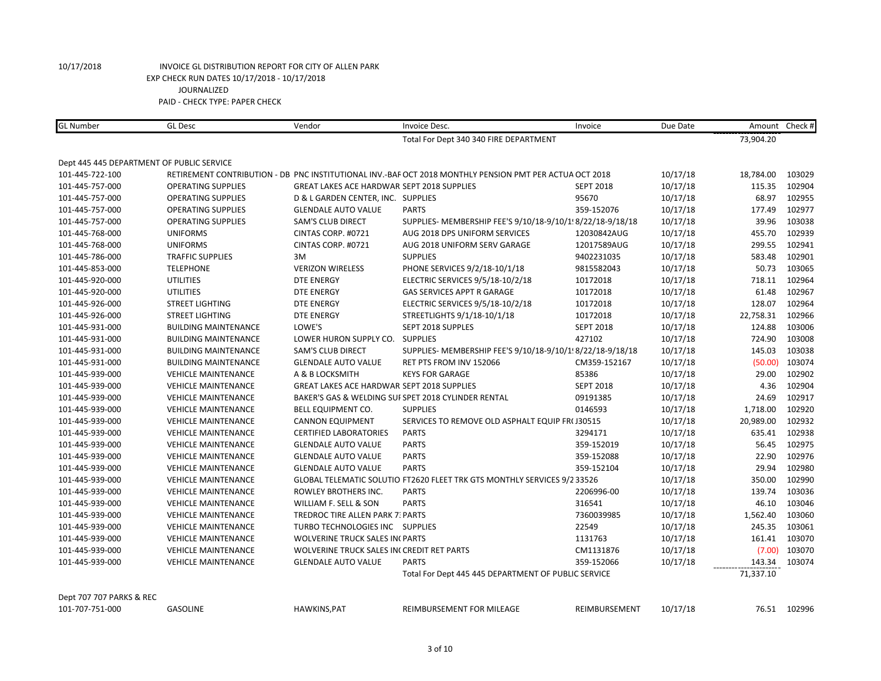| <b>GL Number</b>                          | <b>GL Desc</b>              | Vendor                                            | Invoice Desc.                                                                                           | Invoice          | Due Date | Amount    | Check # |
|-------------------------------------------|-----------------------------|---------------------------------------------------|---------------------------------------------------------------------------------------------------------|------------------|----------|-----------|---------|
|                                           |                             |                                                   | Total For Dept 340 340 FIRE DEPARTMENT                                                                  |                  |          | 73,904.20 |         |
| Dept 445 445 DEPARTMENT OF PUBLIC SERVICE |                             |                                                   |                                                                                                         |                  |          |           |         |
| 101-445-722-100                           |                             |                                                   | RETIREMENT CONTRIBUTION - DB PNC INSTITUTIONAL INV.-BAF OCT 2018 MONTHLY PENSION PMT PER ACTUA OCT 2018 |                  | 10/17/18 | 18,784.00 | 103029  |
| 101-445-757-000                           | <b>OPERATING SUPPLIES</b>   | <b>GREAT LAKES ACE HARDWAR SEPT 2018 SUPPLIES</b> |                                                                                                         | <b>SEPT 2018</b> | 10/17/18 | 115.35    | 102904  |
| 101-445-757-000                           | <b>OPERATING SUPPLIES</b>   | D & L GARDEN CENTER, INC. SUPPLIES                |                                                                                                         | 95670            | 10/17/18 | 68.97     | 102955  |
| 101-445-757-000                           | <b>OPERATING SUPPLIES</b>   | <b>GLENDALE AUTO VALUE</b>                        | <b>PARTS</b>                                                                                            | 359-152076       | 10/17/18 | 177.49    | 102977  |
| 101-445-757-000                           | <b>OPERATING SUPPLIES</b>   | <b>SAM'S CLUB DIRECT</b>                          | SUPPLIES- MEMBERSHIP FEE'S 9/10/18-9/10/1! 8/22/18-9/18/18                                              |                  | 10/17/18 | 39.96     | 103038  |
| 101-445-768-000                           | <b>UNIFORMS</b>             | CINTAS CORP. #0721                                | AUG 2018 DPS UNIFORM SERVICES                                                                           | 12030842AUG      | 10/17/18 | 455.70    | 102939  |
| 101-445-768-000                           | <b>UNIFORMS</b>             | CINTAS CORP. #0721                                | AUG 2018 UNIFORM SERV GARAGE                                                                            | 12017589AUG      | 10/17/18 | 299.55    | 102941  |
| 101-445-786-000                           | <b>TRAFFIC SUPPLIES</b>     | 3M                                                | <b>SUPPLIES</b>                                                                                         | 9402231035       | 10/17/18 | 583.48    | 102901  |
| 101-445-853-000                           | <b>TELEPHONE</b>            | <b>VERIZON WIRELESS</b>                           | PHONE SERVICES 9/2/18-10/1/18                                                                           | 9815582043       | 10/17/18 | 50.73     | 103065  |
| 101-445-920-000                           | <b>UTILITIES</b>            | <b>DTE ENERGY</b>                                 | ELECTRIC SERVICES 9/5/18-10/2/18                                                                        | 10172018         | 10/17/18 | 718.11    | 102964  |
| 101-445-920-000                           | <b>UTILITIES</b>            | <b>DTE ENERGY</b>                                 | <b>GAS SERVICES APPT R GARAGE</b>                                                                       | 10172018         | 10/17/18 | 61.48     | 102967  |
| 101-445-926-000                           | <b>STREET LIGHTING</b>      | <b>DTE ENERGY</b>                                 | ELECTRIC SERVICES 9/5/18-10/2/18                                                                        | 10172018         | 10/17/18 | 128.07    | 102964  |
| 101-445-926-000                           | <b>STREET LIGHTING</b>      | <b>DTE ENERGY</b>                                 | STREETLIGHTS 9/1/18-10/1/18                                                                             | 10172018         | 10/17/18 | 22,758.31 | 102966  |
| 101-445-931-000                           | <b>BUILDING MAINTENANCE</b> | LOWE'S                                            | SEPT 2018 SUPPLES                                                                                       | <b>SEPT 2018</b> | 10/17/18 | 124.88    | 103006  |
| 101-445-931-000                           | <b>BUILDING MAINTENANCE</b> | LOWER HURON SUPPLY CO. SUPPLIES                   |                                                                                                         | 427102           | 10/17/18 | 724.90    | 103008  |
| 101-445-931-000                           | <b>BUILDING MAINTENANCE</b> | <b>SAM'S CLUB DIRECT</b>                          | SUPPLIES- MEMBERSHIP FEE'S 9/10/18-9/10/1! 8/22/18-9/18/18                                              |                  | 10/17/18 | 145.03    | 103038  |
| 101-445-931-000                           | <b>BUILDING MAINTENANCE</b> | <b>GLENDALE AUTO VALUE</b>                        | RET PTS FROM INV 152066                                                                                 | CM359-152167     | 10/17/18 | (50.00)   | 103074  |
| 101-445-939-000                           | <b>VEHICLE MAINTENANCE</b>  | A & B LOCKSMITH                                   | <b>KEYS FOR GARAGE</b>                                                                                  | 85386            | 10/17/18 | 29.00     | 102902  |
| 101-445-939-000                           | <b>VEHICLE MAINTENANCE</b>  | GREAT LAKES ACE HARDWAR SEPT 2018 SUPPLIES        |                                                                                                         | <b>SEPT 2018</b> | 10/17/18 | 4.36      | 102904  |
| 101-445-939-000                           | <b>VEHICLE MAINTENANCE</b>  |                                                   | BAKER'S GAS & WELDING SUF SPET 2018 CYLINDER RENTAL                                                     | 09191385         | 10/17/18 | 24.69     | 102917  |
| 101-445-939-000                           | <b>VEHICLE MAINTENANCE</b>  | BELL EQUIPMENT CO.                                | <b>SUPPLIES</b>                                                                                         | 0146593          | 10/17/18 | 1,718.00  | 102920  |
| 101-445-939-000                           | <b>VEHICLE MAINTENANCE</b>  | <b>CANNON EQUIPMENT</b>                           | SERVICES TO REMOVE OLD ASPHALT EQUIP FR(J30515                                                          |                  | 10/17/18 | 20,989.00 | 102932  |
| 101-445-939-000                           | <b>VEHICLE MAINTENANCE</b>  | <b>CERTIFIED LABORATORIES</b>                     | <b>PARTS</b>                                                                                            | 3294171          | 10/17/18 | 635.41    | 102938  |
| 101-445-939-000                           | <b>VEHICLE MAINTENANCE</b>  | <b>GLENDALE AUTO VALUE</b>                        | <b>PARTS</b>                                                                                            | 359-152019       | 10/17/18 | 56.45     | 102975  |
| 101-445-939-000                           | <b>VEHICLE MAINTENANCE</b>  | <b>GLENDALE AUTO VALUE</b>                        | <b>PARTS</b>                                                                                            | 359-152088       | 10/17/18 | 22.90     | 102976  |
| 101-445-939-000                           | <b>VEHICLE MAINTENANCE</b>  | <b>GLENDALE AUTO VALUE</b>                        | <b>PARTS</b>                                                                                            | 359-152104       | 10/17/18 | 29.94     | 102980  |
| 101-445-939-000                           | <b>VEHICLE MAINTENANCE</b>  |                                                   | GLOBAL TELEMATIC SOLUTIO FT2620 FLEET TRK GTS MONTHLY SERVICES 9/2 33526                                |                  | 10/17/18 | 350.00    | 102990  |
| 101-445-939-000                           | <b>VEHICLE MAINTENANCE</b>  | ROWLEY BROTHERS INC.                              | <b>PARTS</b>                                                                                            | 2206996-00       | 10/17/18 | 139.74    | 103036  |
| 101-445-939-000                           | <b>VEHICLE MAINTENANCE</b>  | WILLIAM F. SELL & SON                             | <b>PARTS</b>                                                                                            | 316541           | 10/17/18 | 46.10     | 103046  |
| 101-445-939-000                           | <b>VEHICLE MAINTENANCE</b>  | <b>TREDROC TIRE ALLEN PARK 7: PARTS</b>           |                                                                                                         | 7360039985       | 10/17/18 | 1,562.40  | 103060  |
| 101-445-939-000                           | <b>VEHICLE MAINTENANCE</b>  | TURBO TECHNOLOGIES INC SUPPLIES                   |                                                                                                         | 22549            | 10/17/18 | 245.35    | 103061  |
| 101-445-939-000                           | <b>VEHICLE MAINTENANCE</b>  | WOLVERINE TRUCK SALES IN PARTS                    |                                                                                                         | 1131763          | 10/17/18 | 161.41    | 103070  |
| 101-445-939-000                           | <b>VEHICLE MAINTENANCE</b>  | <b>WOLVERINE TRUCK SALES IN CREDIT RET PARTS</b>  |                                                                                                         | CM1131876        | 10/17/18 | (7.00)    | 103070  |
| 101-445-939-000                           | <b>VEHICLE MAINTENANCE</b>  | <b>GLENDALE AUTO VALUE</b>                        | <b>PARTS</b>                                                                                            | 359-152066       | 10/17/18 | 143.34    | 103074  |
|                                           |                             |                                                   | Total For Dept 445 445 DEPARTMENT OF PUBLIC SERVICE                                                     |                  |          | 71,337.10 |         |

Dept 707 707 PARKS & REC

101-707-751-000 GASOLINE HAWKINS,PAT REIMBURSEMENT FOR MILEAGE REIMBURSEMENT 10/17/18 76.51 102996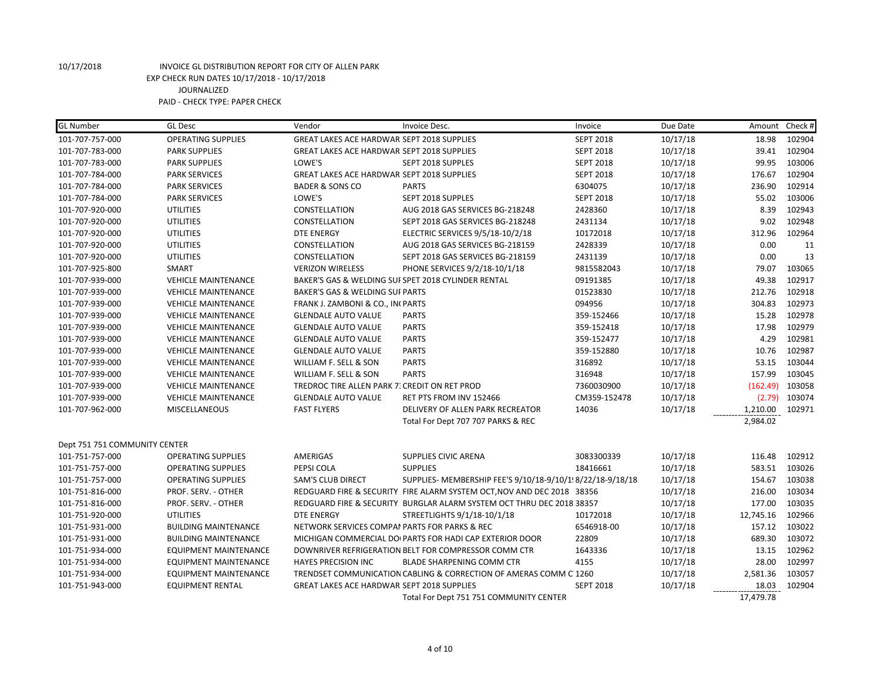| <b>GL Number</b>              | <b>GL Desc</b>               | Vendor                                            | Invoice Desc.                                                          | Invoice          | Due Date | Amount Check # |        |
|-------------------------------|------------------------------|---------------------------------------------------|------------------------------------------------------------------------|------------------|----------|----------------|--------|
| 101-707-757-000               | <b>OPERATING SUPPLIES</b>    | <b>GREAT LAKES ACE HARDWAR SEPT 2018 SUPPLIES</b> |                                                                        | <b>SEPT 2018</b> | 10/17/18 | 18.98          | 102904 |
| 101-707-783-000               | <b>PARK SUPPLIES</b>         | <b>GREAT LAKES ACE HARDWAR SEPT 2018 SUPPLIES</b> |                                                                        | <b>SEPT 2018</b> | 10/17/18 | 39.41          | 102904 |
| 101-707-783-000               | <b>PARK SUPPLIES</b>         | LOWE'S                                            | SEPT 2018 SUPPLES                                                      | <b>SEPT 2018</b> | 10/17/18 | 99.95          | 103006 |
| 101-707-784-000               | <b>PARK SERVICES</b>         | <b>GREAT LAKES ACE HARDWAR SEPT 2018 SUPPLIES</b> |                                                                        | <b>SEPT 2018</b> | 10/17/18 | 176.67         | 102904 |
| 101-707-784-000               | <b>PARK SERVICES</b>         | <b>BADER &amp; SONS CO</b>                        | <b>PARTS</b>                                                           | 6304075          | 10/17/18 | 236.90         | 102914 |
| 101-707-784-000               | <b>PARK SERVICES</b>         | LOWE'S                                            | SEPT 2018 SUPPLES                                                      | <b>SEPT 2018</b> | 10/17/18 | 55.02          | 103006 |
| 101-707-920-000               | <b>UTILITIES</b>             | <b>CONSTELLATION</b>                              | AUG 2018 GAS SERVICES BG-218248                                        | 2428360          | 10/17/18 | 8.39           | 102943 |
| 101-707-920-000               | <b>UTILITIES</b>             | CONSTELLATION                                     | SEPT 2018 GAS SERVICES BG-218248                                       | 2431134          | 10/17/18 | 9.02           | 102948 |
| 101-707-920-000               | <b>UTILITIES</b>             | <b>DTE ENERGY</b>                                 | ELECTRIC SERVICES 9/5/18-10/2/18                                       | 10172018         | 10/17/18 | 312.96         | 102964 |
| 101-707-920-000               | <b>UTILITIES</b>             | CONSTELLATION                                     | AUG 2018 GAS SERVICES BG-218159                                        | 2428339          | 10/17/18 | 0.00           | 11     |
| 101-707-920-000               | <b>UTILITIES</b>             | CONSTELLATION                                     | SEPT 2018 GAS SERVICES BG-218159                                       | 2431139          | 10/17/18 | 0.00           | 13     |
| 101-707-925-800               | <b>SMART</b>                 | <b>VERIZON WIRELESS</b>                           | PHONE SERVICES 9/2/18-10/1/18                                          | 9815582043       | 10/17/18 | 79.07          | 103065 |
| 101-707-939-000               | <b>VEHICLE MAINTENANCE</b>   |                                                   | BAKER'S GAS & WELDING SUI SPET 2018 CYLINDER RENTAL                    | 09191385         | 10/17/18 | 49.38          | 102917 |
| 101-707-939-000               | <b>VEHICLE MAINTENANCE</b>   | <b>BAKER'S GAS &amp; WELDING SUI PARTS</b>        |                                                                        | 01523830         | 10/17/18 | 212.76         | 102918 |
| 101-707-939-000               | <b>VEHICLE MAINTENANCE</b>   | FRANK J. ZAMBONI & CO., INI PARTS                 |                                                                        | 094956           | 10/17/18 | 304.83         | 102973 |
| 101-707-939-000               | <b>VEHICLE MAINTENANCE</b>   | <b>GLENDALE AUTO VALUE</b>                        | <b>PARTS</b>                                                           | 359-152466       | 10/17/18 | 15.28          | 102978 |
| 101-707-939-000               | <b>VEHICLE MAINTENANCE</b>   | <b>GLENDALE AUTO VALUE</b>                        | <b>PARTS</b>                                                           | 359-152418       | 10/17/18 | 17.98          | 102979 |
| 101-707-939-000               | <b>VEHICLE MAINTENANCE</b>   | <b>GLENDALE AUTO VALUE</b>                        | <b>PARTS</b>                                                           | 359-152477       | 10/17/18 | 4.29           | 102981 |
| 101-707-939-000               | <b>VEHICLE MAINTENANCE</b>   | <b>GLENDALE AUTO VALUE</b>                        | <b>PARTS</b>                                                           | 359-152880       | 10/17/18 | 10.76          | 102987 |
| 101-707-939-000               | <b>VEHICLE MAINTENANCE</b>   | WILLIAM F. SELL & SON                             | <b>PARTS</b>                                                           | 316892           | 10/17/18 | 53.15          | 103044 |
| 101-707-939-000               | <b>VEHICLE MAINTENANCE</b>   | WILLIAM F. SELL & SON                             | <b>PARTS</b>                                                           | 316948           | 10/17/18 | 157.99         | 103045 |
| 101-707-939-000               | <b>VEHICLE MAINTENANCE</b>   | TREDROC TIRE ALLEN PARK 7: CREDIT ON RET PROD     |                                                                        | 7360030900       | 10/17/18 | (162.49)       | 103058 |
| 101-707-939-000               | <b>VEHICLE MAINTENANCE</b>   | <b>GLENDALE AUTO VALUE</b>                        | RET PTS FROM INV 152466                                                | CM359-152478     | 10/17/18 | (2.79)         | 103074 |
| 101-707-962-000               | <b>MISCELLANEOUS</b>         | <b>FAST FLYERS</b>                                | DELIVERY OF ALLEN PARK RECREATOR                                       | 14036            | 10/17/18 | 1,210.00       | 102971 |
|                               |                              |                                                   | Total For Dept 707 707 PARKS & REC                                     |                  |          | 2,984.02       |        |
| Dept 751 751 COMMUNITY CENTER |                              |                                                   |                                                                        |                  |          |                |        |
| 101-751-757-000               | <b>OPERATING SUPPLIES</b>    | AMERIGAS                                          | <b>SUPPLIES CIVIC ARENA</b>                                            | 3083300339       | 10/17/18 | 116.48         | 102912 |
| 101-751-757-000               | <b>OPERATING SUPPLIES</b>    | PEPSI COLA                                        | <b>SUPPLIES</b>                                                        | 18416661         | 10/17/18 | 583.51         | 103026 |
| 101-751-757-000               | <b>OPERATING SUPPLIES</b>    | <b>SAM'S CLUB DIRECT</b>                          | SUPPLIES- MEMBERSHIP FEE'S 9/10/18-9/10/1! 8/22/18-9/18/18             |                  | 10/17/18 | 154.67         | 103038 |
| 101-751-816-000               | PROF. SERV. - OTHER          |                                                   | REDGUARD FIRE & SECURITY FIRE ALARM SYSTEM OCT, NOV AND DEC 2018 38356 |                  | 10/17/18 | 216.00         | 103034 |
| 101-751-816-000               | PROF. SERV. - OTHER          |                                                   | REDGUARD FIRE & SECURITY BURGLAR ALARM SYSTEM OCT THRU DEC 2018 38357  |                  | 10/17/18 | 177.00         | 103035 |
| 101-751-920-000               | <b>UTILITIES</b>             | <b>DTE ENERGY</b>                                 | STREETLIGHTS 9/1/18-10/1/18                                            | 10172018         | 10/17/18 | 12,745.16      | 102966 |
| 101-751-931-000               | <b>BUILDING MAINTENANCE</b>  | NETWORK SERVICES COMPAI PARTS FOR PARKS & REC     |                                                                        | 6546918-00       | 10/17/18 | 157.12         | 103022 |
| 101-751-931-000               | <b>BUILDING MAINTENANCE</b>  |                                                   | MICHIGAN COMMERCIAL DO PARTS FOR HADI CAP EXTERIOR DOOR                | 22809            | 10/17/18 | 689.30         | 103072 |
| 101-751-934-000               | EQUIPMENT MAINTENANCE        |                                                   | DOWNRIVER REFRIGERATION BELT FOR COMPRESSOR COMM CTR                   | 1643336          | 10/17/18 | 13.15          | 102962 |
| 101-751-934-000               | <b>EQUIPMENT MAINTENANCE</b> | <b>HAYES PRECISION INC</b>                        | <b>BLADE SHARPENING COMM CTR</b>                                       | 4155             | 10/17/18 | 28.00          | 102997 |
| 101-751-934-000               | <b>EQUIPMENT MAINTENANCE</b> |                                                   | TRENDSET COMMUNICATION CABLING & CORRECTION OF AMERAS COMM C 1260      |                  | 10/17/18 | 2,581.36       | 103057 |
| 101-751-943-000               | <b>EQUIPMENT RENTAL</b>      | <b>GREAT LAKES ACE HARDWAR SEPT 2018 SUPPLIES</b> |                                                                        | <b>SEPT 2018</b> | 10/17/18 | 18.03          | 102904 |
|                               |                              |                                                   | Total For Dept 751 751 COMMUNITY CENTER                                |                  |          | 17,479.78      |        |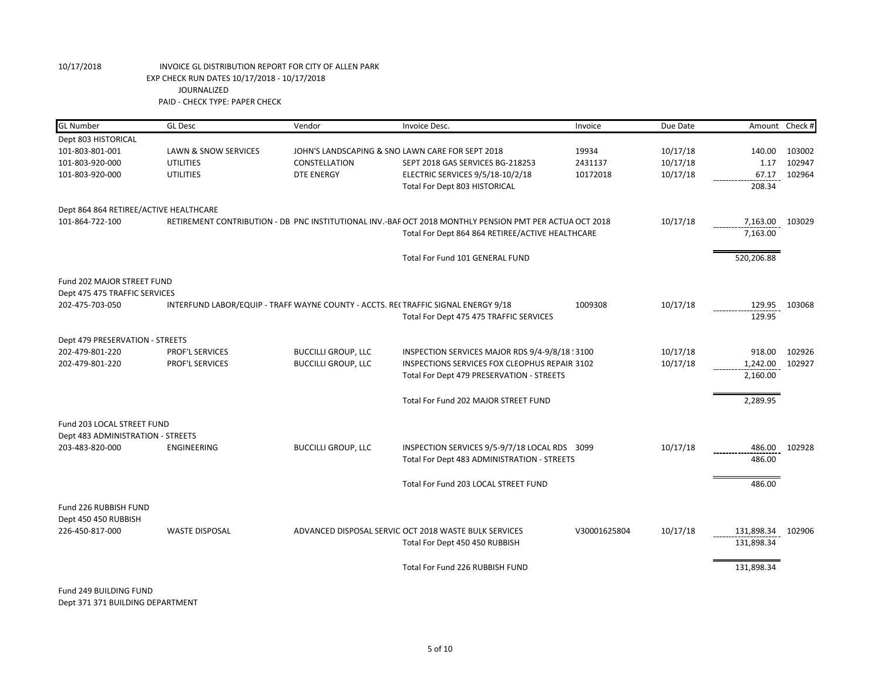| <b>GL</b> Number                                            | <b>GL Desc</b>                                                                    | Vendor                                           | Invoice Desc.                                                                                           | Invoice      | Due Date | Amount Check # |        |
|-------------------------------------------------------------|-----------------------------------------------------------------------------------|--------------------------------------------------|---------------------------------------------------------------------------------------------------------|--------------|----------|----------------|--------|
| Dept 803 HISTORICAL                                         |                                                                                   |                                                  |                                                                                                         |              |          |                |        |
| 101-803-801-001                                             | LAWN & SNOW SERVICES                                                              | JOHN'S LANDSCAPING & SNO LAWN CARE FOR SEPT 2018 |                                                                                                         | 19934        | 10/17/18 | 140.00         | 103002 |
| 101-803-920-000                                             | <b>UTILITIES</b>                                                                  | CONSTELLATION                                    | SEPT 2018 GAS SERVICES BG-218253                                                                        | 2431137      | 10/17/18 | 1.17           | 102947 |
| 101-803-920-000                                             | <b>UTILITIES</b>                                                                  | <b>DTE ENERGY</b>                                | ELECTRIC SERVICES 9/5/18-10/2/18                                                                        | 10172018     | 10/17/18 | 67.17          | 102964 |
|                                                             |                                                                                   |                                                  | Total For Dept 803 HISTORICAL                                                                           |              |          | 208.34         |        |
| Dept 864 864 RETIREE/ACTIVE HEALTHCARE                      |                                                                                   |                                                  |                                                                                                         |              |          |                |        |
| 101-864-722-100                                             |                                                                                   |                                                  | RETIREMENT CONTRIBUTION - DB PNC INSTITUTIONAL INV.-BAF OCT 2018 MONTHLY PENSION PMT PER ACTUA OCT 2018 |              | 10/17/18 | 7,163.00       | 103029 |
|                                                             |                                                                                   |                                                  | Total For Dept 864 864 RETIREE/ACTIVE HEALTHCARE                                                        |              |          | 7,163.00       |        |
|                                                             |                                                                                   |                                                  | Total For Fund 101 GENERAL FUND                                                                         |              |          | 520,206.88     |        |
| Fund 202 MAJOR STREET FUND<br>Dept 475 475 TRAFFIC SERVICES |                                                                                   |                                                  |                                                                                                         |              |          |                |        |
| 202-475-703-050                                             | INTERFUND LABOR/EQUIP - TRAFF WAYNE COUNTY - ACCTS. RECTRAFFIC SIGNAL ENERGY 9/18 |                                                  |                                                                                                         | 1009308      | 10/17/18 | 129.95         | 103068 |
|                                                             |                                                                                   |                                                  | Total For Dept 475 475 TRAFFIC SERVICES                                                                 |              |          | 129.95         |        |
| Dept 479 PRESERVATION - STREETS                             |                                                                                   |                                                  |                                                                                                         |              |          |                |        |
| 202-479-801-220                                             | PROF'L SERVICES                                                                   | <b>BUCCILLI GROUP, LLC</b>                       | INSPECTION SERVICES MAJOR RDS 9/4-9/8/18 ! 3100                                                         |              | 10/17/18 | 918.00         | 102926 |
| 202-479-801-220                                             | PROF'L SERVICES                                                                   | <b>BUCCILLI GROUP, LLC</b>                       | INSPECTIONS SERVICES FOX CLEOPHUS REPAIR 3102                                                           |              | 10/17/18 | 1,242.00       | 102927 |
|                                                             |                                                                                   |                                                  | Total For Dept 479 PRESERVATION - STREETS                                                               |              |          | 2,160.00       |        |
|                                                             |                                                                                   |                                                  | Total For Fund 202 MAJOR STREET FUND                                                                    |              |          | 2,289.95       |        |
| Fund 203 LOCAL STREET FUND                                  |                                                                                   |                                                  |                                                                                                         |              |          |                |        |
| Dept 483 ADMINISTRATION - STREETS                           |                                                                                   |                                                  |                                                                                                         |              |          |                |        |
| 203-483-820-000                                             | ENGINEERING                                                                       | <b>BUCCILLI GROUP, LLC</b>                       | INSPECTION SERVICES 9/5-9/7/18 LOCAL RDS 3099                                                           |              | 10/17/18 | 486.00         | 102928 |
|                                                             |                                                                                   |                                                  | Total For Dept 483 ADMINISTRATION - STREETS                                                             |              |          | 486.00         |        |
|                                                             |                                                                                   |                                                  | Total For Fund 203 LOCAL STREET FUND                                                                    |              |          | 486.00         |        |
| Fund 226 RUBBISH FUND<br>Dept 450 450 RUBBISH               |                                                                                   |                                                  |                                                                                                         |              |          |                |        |
| 226-450-817-000                                             | <b>WASTE DISPOSAL</b>                                                             |                                                  | ADVANCED DISPOSAL SERVIC OCT 2018 WASTE BULK SERVICES                                                   | V30001625804 | 10/17/18 | 131,898.34     | 102906 |
|                                                             |                                                                                   |                                                  | Total For Dept 450 450 RUBBISH                                                                          |              |          | 131,898.34     |        |
|                                                             |                                                                                   |                                                  | Total For Fund 226 RUBBISH FUND                                                                         |              |          | 131,898.34     |        |

Fund 249 BUILDING FUND Dept 371 371 BUILDING DEPARTMENT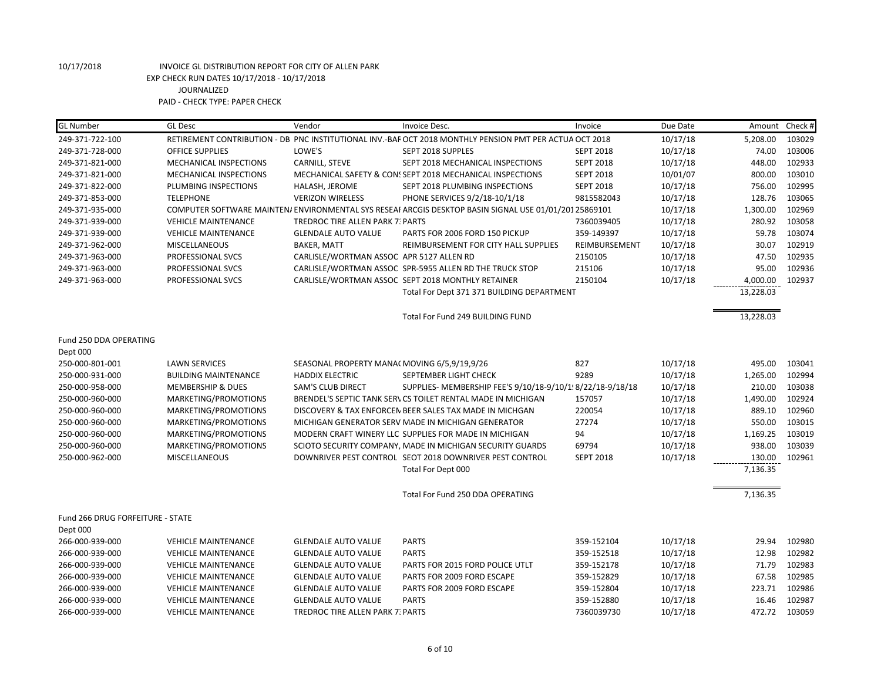| <b>GL Number</b>                 | <b>GL Desc</b>                | Vendor                                      | Invoice Desc.                                                                                           | Invoice          | Due Date | Amount Check # |        |
|----------------------------------|-------------------------------|---------------------------------------------|---------------------------------------------------------------------------------------------------------|------------------|----------|----------------|--------|
| 249-371-722-100                  |                               |                                             | RETIREMENT CONTRIBUTION - DB PNC INSTITUTIONAL INV.-BAF OCT 2018 MONTHLY PENSION PMT PER ACTUA OCT 2018 |                  | 10/17/18 | 5,208.00       | 103029 |
| 249-371-728-000                  | <b>OFFICE SUPPLIES</b>        | LOWE'S                                      | SEPT 2018 SUPPLES                                                                                       | <b>SEPT 2018</b> | 10/17/18 | 74.00          | 103006 |
| 249-371-821-000                  | <b>MECHANICAL INSPECTIONS</b> | CARNILL, STEVE                              | SEPT 2018 MECHANICAL INSPECTIONS                                                                        | <b>SEPT 2018</b> | 10/17/18 | 448.00         | 102933 |
| 249-371-821-000                  | MECHANICAL INSPECTIONS        |                                             | MECHANICAL SAFETY & CON: SEPT 2018 MECHANICAL INSPECTIONS                                               | <b>SEPT 2018</b> | 10/01/07 | 800.00         | 103010 |
| 249-371-822-000                  | PLUMBING INSPECTIONS          | HALASH, JEROME                              | SEPT 2018 PLUMBING INSPECTIONS                                                                          | <b>SEPT 2018</b> | 10/17/18 | 756.00         | 102995 |
| 249-371-853-000                  | <b>TELEPHONE</b>              | <b>VERIZON WIRELESS</b>                     | PHONE SERVICES 9/2/18-10/1/18                                                                           | 9815582043       | 10/17/18 | 128.76         | 103065 |
| 249-371-935-000                  |                               |                                             | COMPUTER SOFTWARE MAINTEN/ ENVIRONMENTAL SYS RESEAI ARCGIS DESKTOP BASIN SIGNAL USE 01/01/20125869101   |                  | 10/17/18 | 1,300.00       | 102969 |
| 249-371-939-000                  | <b>VEHICLE MAINTENANCE</b>    | <b>TREDROC TIRE ALLEN PARK 7: PARTS</b>     |                                                                                                         | 7360039405       | 10/17/18 | 280.92         | 103058 |
| 249-371-939-000                  | <b>VEHICLE MAINTENANCE</b>    | <b>GLENDALE AUTO VALUE</b>                  | PARTS FOR 2006 FORD 150 PICKUP                                                                          | 359-149397       | 10/17/18 | 59.78          | 103074 |
| 249-371-962-000                  | <b>MISCELLANEOUS</b>          | <b>BAKER, MATT</b>                          | REIMBURSEMENT FOR CITY HALL SUPPLIES                                                                    | REIMBURSEMENT    | 10/17/18 | 30.07          | 102919 |
| 249-371-963-000                  | PROFESSIONAL SVCS             | CARLISLE/WORTMAN ASSOC APR 5127 ALLEN RD    |                                                                                                         | 2150105          | 10/17/18 | 47.50          | 102935 |
| 249-371-963-000                  | PROFESSIONAL SVCS             |                                             | CARLISLE/WORTMAN ASSOC SPR-5955 ALLEN RD THE TRUCK STOP                                                 | 215106           | 10/17/18 | 95.00          | 102936 |
| 249-371-963-000                  | PROFESSIONAL SVCS             |                                             | CARLISLE/WORTMAN ASSOC SEPT 2018 MONTHLY RETAINER                                                       | 2150104          | 10/17/18 | 4,000.00       | 102937 |
|                                  |                               |                                             | Total For Dept 371 371 BUILDING DEPARTMENT                                                              |                  |          | 13,228.03      |        |
|                                  |                               |                                             | Total For Fund 249 BUILDING FUND                                                                        |                  |          | 13,228.03      |        |
| Fund 250 DDA OPERATING           |                               |                                             |                                                                                                         |                  |          |                |        |
| Dept 000                         |                               |                                             |                                                                                                         |                  |          |                |        |
| 250-000-801-001                  | <b>LAWN SERVICES</b>          | SEASONAL PROPERTY MANA(MOVING 6/5,9/19,9/26 |                                                                                                         | 827              | 10/17/18 | 495.00         | 103041 |
| 250-000-931-000                  | <b>BUILDING MAINTENANCE</b>   | <b>HADDIX ELECTRIC</b>                      | SEPTEMBER LIGHT CHECK                                                                                   | 9289             | 10/17/18 | 1,265.00       | 102994 |
| 250-000-958-000                  | <b>MEMBERSHIP &amp; DUES</b>  | <b>SAM'S CLUB DIRECT</b>                    | SUPPLIES- MEMBERSHIP FEE'S 9/10/18-9/10/1! 8/22/18-9/18/18                                              |                  | 10/17/18 | 210.00         | 103038 |
| 250-000-960-000                  | MARKETING/PROMOTIONS          |                                             | BRENDEL'S SEPTIC TANK SERVICS TOILET RENTAL MADE IN MICHIGAN                                            | 157057           | 10/17/18 | 1,490.00       | 102924 |
| 250-000-960-000                  | MARKETING/PROMOTIONS          |                                             | DISCOVERY & TAX ENFORCEN BEER SALES TAX MADE IN MICHGAN                                                 | 220054           | 10/17/18 | 889.10         | 102960 |
| 250-000-960-000                  | MARKETING/PROMOTIONS          |                                             | MICHIGAN GENERATOR SERV MADE IN MICHIGAN GENERATOR                                                      | 27274            | 10/17/18 | 550.00         | 103015 |
| 250-000-960-000                  | MARKETING/PROMOTIONS          |                                             | MODERN CRAFT WINERY LLC SUPPLIES FOR MADE IN MICHIGAN                                                   | 94               | 10/17/18 | 1,169.25       | 103019 |
| 250-000-960-000                  | MARKETING/PROMOTIONS          |                                             | SCIOTO SECURITY COMPANY, MADE IN MICHIGAN SECURITY GUARDS                                               | 69794            | 10/17/18 | 938.00         | 103039 |
| 250-000-962-000                  | MISCELLANEOUS                 |                                             | DOWNRIVER PEST CONTROL SEOT 2018 DOWNRIVER PEST CONTROL                                                 | <b>SEPT 2018</b> | 10/17/18 | 130.00         | 102961 |
|                                  |                               |                                             | Total For Dept 000                                                                                      |                  |          | 7,136.35       |        |
|                                  |                               |                                             | Total For Fund 250 DDA OPERATING                                                                        |                  |          | 7,136.35       |        |
| Fund 266 DRUG FORFEITURE - STATE |                               |                                             |                                                                                                         |                  |          |                |        |
| Dept 000                         |                               |                                             |                                                                                                         |                  |          |                |        |
| 266-000-939-000                  | <b>VEHICLE MAINTENANCE</b>    | <b>GLENDALE AUTO VALUE</b>                  | <b>PARTS</b>                                                                                            | 359-152104       | 10/17/18 | 29.94          | 102980 |
| 266-000-939-000                  | <b>VEHICLE MAINTENANCE</b>    | <b>GLENDALE AUTO VALUE</b>                  | <b>PARTS</b>                                                                                            | 359-152518       | 10/17/18 | 12.98          | 102982 |
| 266-000-939-000                  | <b>VEHICLE MAINTENANCE</b>    | <b>GLENDALE AUTO VALUE</b>                  | PARTS FOR 2015 FORD POLICE UTLT                                                                         | 359-152178       | 10/17/18 | 71.79          | 102983 |
| 266-000-939-000                  | <b>VEHICLE MAINTENANCE</b>    | <b>GLENDALE AUTO VALUE</b>                  | PARTS FOR 2009 FORD ESCAPE                                                                              | 359-152829       | 10/17/18 | 67.58          | 102985 |
| 266-000-939-000                  | <b>VEHICLE MAINTENANCE</b>    | <b>GLENDALE AUTO VALUE</b>                  | PARTS FOR 2009 FORD ESCAPE                                                                              | 359-152804       | 10/17/18 | 223.71         | 102986 |
| 266-000-939-000                  | <b>VEHICLE MAINTENANCE</b>    | <b>GLENDALE AUTO VALUE</b>                  | <b>PARTS</b>                                                                                            | 359-152880       | 10/17/18 | 16.46          | 102987 |
| 266-000-939-000                  | <b>VEHICLE MAINTENANCE</b>    | TREDROC TIRE ALLEN PARK 7: PARTS            |                                                                                                         | 7360039730       | 10/17/18 | 472.72         | 103059 |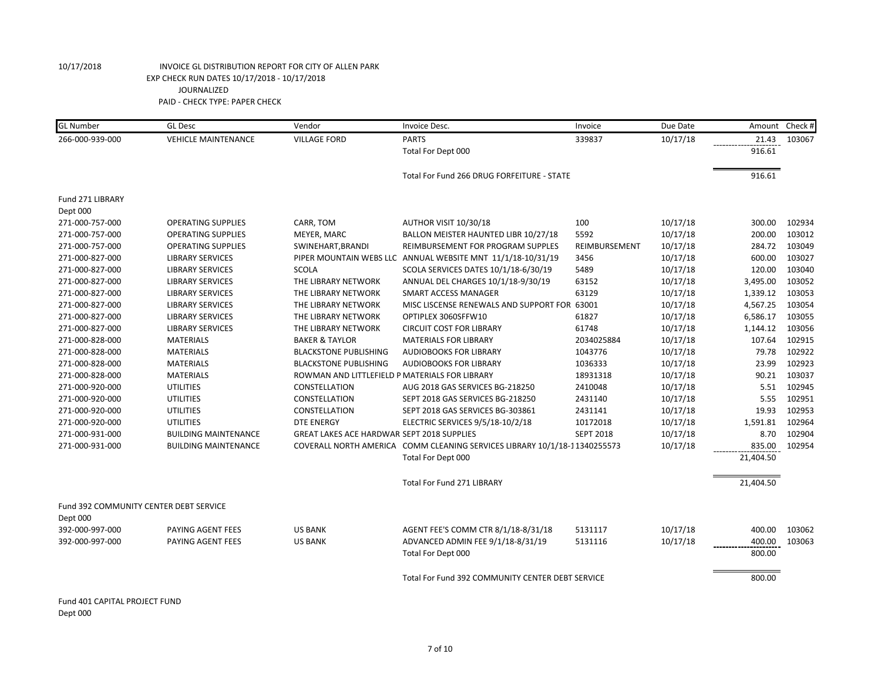| 266-000-939-000<br><b>VILLAGE FORD</b><br><b>PARTS</b><br>339837<br>10/17/18<br><b>VEHICLE MAINTENANCE</b><br>21.43<br>916.61<br>Total For Dept 000<br>916.61<br>Total For Fund 266 DRUG FORFEITURE - STATE<br>Fund 271 LIBRARY<br>Dept 000<br>AUTHOR VISIT 10/30/18<br>271-000-757-000<br><b>OPERATING SUPPLIES</b><br>CARR, TOM<br>100<br>10/17/18<br>300.00<br>MEYER, MARC<br>BALLON MEISTER HAUNTED LIBR 10/27/18<br>5592<br>10/17/18<br>200.00<br>271-000-757-000<br><b>OPERATING SUPPLIES</b><br>SWINEHART, BRANDI<br>REIMBURSEMENT FOR PROGRAM SUPPLES<br>10/17/18<br>284.72<br>271-000-757-000<br><b>OPERATING SUPPLIES</b><br>REIMBURSEMENT<br>PIPER MOUNTAIN WEBS LLC ANNUAL WEBSITE MNT 11/1/18-10/31/19<br>10/17/18<br>600.00<br>271-000-827-000<br><b>LIBRARY SERVICES</b><br>3456<br>120.00<br>271-000-827-000<br>SCOLA SERVICES DATES 10/1/18-6/30/19<br>5489<br>10/17/18<br><b>LIBRARY SERVICES</b><br>SCOLA<br>10/17/18<br>3,495.00<br>271-000-827-000<br><b>LIBRARY SERVICES</b><br>THE LIBRARY NETWORK<br>ANNUAL DEL CHARGES 10/1/18-9/30/19<br>63152<br>63129<br>10/17/18<br>1,339.12<br>271-000-827-000<br><b>LIBRARY SERVICES</b><br>THE LIBRARY NETWORK<br><b>SMART ACCESS MANAGER</b><br>271-000-827-000<br>MISC LISCENSE RENEWALS AND SUPPORT FOR 63001<br>10/17/18<br>4,567.25<br><b>LIBRARY SERVICES</b><br>THE LIBRARY NETWORK<br>271-000-827-000<br>61827<br>10/17/18<br>6,586.17<br><b>LIBRARY SERVICES</b><br>THE LIBRARY NETWORK<br>OPTIPLEX 3060SFFW10<br>61748<br>1,144.12<br>271-000-827-000<br><b>LIBRARY SERVICES</b><br>THE LIBRARY NETWORK<br><b>CIRCUIT COST FOR LIBRARY</b><br>10/17/18<br>10/17/18<br>107.64<br>271-000-828-000<br><b>MATERIALS</b><br><b>BAKER &amp; TAYLOR</b><br><b>MATERIALS FOR LIBRARY</b><br>2034025884<br><b>AUDIOBOOKS FOR LIBRARY</b><br>1043776<br>10/17/18<br>79.78<br>271-000-828-000<br><b>MATERIALS</b><br><b>BLACKSTONE PUBLISHING</b><br>23.99<br>1036333<br>10/17/18<br>271-000-828-000<br><b>MATERIALS</b><br><b>BLACKSTONE PUBLISHING</b><br><b>AUDIOBOOKS FOR LIBRARY</b><br>90.21<br>271-000-828-000<br><b>MATERIALS</b><br>ROWMAN AND LITTLEFIELD P MATERIALS FOR LIBRARY<br>18931318<br>10/17/18<br>2410048<br>10/17/18<br>5.51<br>271-000-920-000<br><b>UTILITIES</b><br>CONSTELLATION<br>AUG 2018 GAS SERVICES BG-218250<br>10/17/18<br>271-000-920-000<br><b>UTILITIES</b><br>CONSTELLATION<br>SEPT 2018 GAS SERVICES BG-218250<br>2431140<br>5.55<br><b>UTILITIES</b><br>10/17/18<br>19.93<br>271-000-920-000<br>CONSTELLATION<br>SEPT 2018 GAS SERVICES BG-303861<br>2431141<br>271-000-920-000<br><b>UTILITIES</b><br><b>DTE ENERGY</b><br>ELECTRIC SERVICES 9/5/18-10/2/18<br>10172018<br>10/17/18<br>1,591.81<br><b>GREAT LAKES ACE HARDWAR SEPT 2018 SUPPLIES</b><br>8.70<br>271-000-931-000<br><b>BUILDING MAINTENANCE</b><br><b>SEPT 2018</b><br>10/17/18<br>835.00<br>271-000-931-000<br><b>BUILDING MAINTENANCE</b><br>COVERALL NORTH AMERICA COMM CLEANING SERVICES LIBRARY 10/1/18-11340255573<br>10/17/18<br>Total For Dept 000<br>21,404.50<br>21,404.50<br>Total For Fund 271 LIBRARY<br>Fund 392 COMMUNITY CENTER DEBT SERVICE<br>Dept 000<br>PAYING AGENT FEES<br>AGENT FEE'S COMM CTR 8/1/18-8/31/18<br>5131117<br>10/17/18<br>400.00<br>392-000-997-000<br><b>US BANK</b><br>ADVANCED ADMIN FEE 9/1/18-8/31/19<br>10/17/18<br>400.00<br>392-000-997-000<br>PAYING AGENT FEES<br><b>US BANK</b><br>5131116<br>Total For Dept 000<br>800.00 | <b>GL Number</b> | <b>GL Desc</b> | Vendor | Invoice Desc. | Invoice | Due Date | Amount | Check # |
|---------------------------------------------------------------------------------------------------------------------------------------------------------------------------------------------------------------------------------------------------------------------------------------------------------------------------------------------------------------------------------------------------------------------------------------------------------------------------------------------------------------------------------------------------------------------------------------------------------------------------------------------------------------------------------------------------------------------------------------------------------------------------------------------------------------------------------------------------------------------------------------------------------------------------------------------------------------------------------------------------------------------------------------------------------------------------------------------------------------------------------------------------------------------------------------------------------------------------------------------------------------------------------------------------------------------------------------------------------------------------------------------------------------------------------------------------------------------------------------------------------------------------------------------------------------------------------------------------------------------------------------------------------------------------------------------------------------------------------------------------------------------------------------------------------------------------------------------------------------------------------------------------------------------------------------------------------------------------------------------------------------------------------------------------------------------------------------------------------------------------------------------------------------------------------------------------------------------------------------------------------------------------------------------------------------------------------------------------------------------------------------------------------------------------------------------------------------------------------------------------------------------------------------------------------------------------------------------------------------------------------------------------------------------------------------------------------------------------------------------------------------------------------------------------------------------------------------------------------------------------------------------------------------------------------------------------------------------------------------------------------------------------------------------------------------------------------------------------------------------------------------------------------------------------------------------------------------------------------------------------------------------------------------------------------------------------------------------------------------------------------------------------------------------------------------------------|------------------|----------------|--------|---------------|---------|----------|--------|---------|
|                                                                                                                                                                                                                                                                                                                                                                                                                                                                                                                                                                                                                                                                                                                                                                                                                                                                                                                                                                                                                                                                                                                                                                                                                                                                                                                                                                                                                                                                                                                                                                                                                                                                                                                                                                                                                                                                                                                                                                                                                                                                                                                                                                                                                                                                                                                                                                                                                                                                                                                                                                                                                                                                                                                                                                                                                                                                                                                                                                                                                                                                                                                                                                                                                                                                                                                                                                                                                                                   |                  |                |        |               |         |          |        | 103067  |
|                                                                                                                                                                                                                                                                                                                                                                                                                                                                                                                                                                                                                                                                                                                                                                                                                                                                                                                                                                                                                                                                                                                                                                                                                                                                                                                                                                                                                                                                                                                                                                                                                                                                                                                                                                                                                                                                                                                                                                                                                                                                                                                                                                                                                                                                                                                                                                                                                                                                                                                                                                                                                                                                                                                                                                                                                                                                                                                                                                                                                                                                                                                                                                                                                                                                                                                                                                                                                                                   |                  |                |        |               |         |          |        |         |
|                                                                                                                                                                                                                                                                                                                                                                                                                                                                                                                                                                                                                                                                                                                                                                                                                                                                                                                                                                                                                                                                                                                                                                                                                                                                                                                                                                                                                                                                                                                                                                                                                                                                                                                                                                                                                                                                                                                                                                                                                                                                                                                                                                                                                                                                                                                                                                                                                                                                                                                                                                                                                                                                                                                                                                                                                                                                                                                                                                                                                                                                                                                                                                                                                                                                                                                                                                                                                                                   |                  |                |        |               |         |          |        |         |
|                                                                                                                                                                                                                                                                                                                                                                                                                                                                                                                                                                                                                                                                                                                                                                                                                                                                                                                                                                                                                                                                                                                                                                                                                                                                                                                                                                                                                                                                                                                                                                                                                                                                                                                                                                                                                                                                                                                                                                                                                                                                                                                                                                                                                                                                                                                                                                                                                                                                                                                                                                                                                                                                                                                                                                                                                                                                                                                                                                                                                                                                                                                                                                                                                                                                                                                                                                                                                                                   |                  |                |        |               |         |          |        |         |
|                                                                                                                                                                                                                                                                                                                                                                                                                                                                                                                                                                                                                                                                                                                                                                                                                                                                                                                                                                                                                                                                                                                                                                                                                                                                                                                                                                                                                                                                                                                                                                                                                                                                                                                                                                                                                                                                                                                                                                                                                                                                                                                                                                                                                                                                                                                                                                                                                                                                                                                                                                                                                                                                                                                                                                                                                                                                                                                                                                                                                                                                                                                                                                                                                                                                                                                                                                                                                                                   |                  |                |        |               |         |          |        |         |
|                                                                                                                                                                                                                                                                                                                                                                                                                                                                                                                                                                                                                                                                                                                                                                                                                                                                                                                                                                                                                                                                                                                                                                                                                                                                                                                                                                                                                                                                                                                                                                                                                                                                                                                                                                                                                                                                                                                                                                                                                                                                                                                                                                                                                                                                                                                                                                                                                                                                                                                                                                                                                                                                                                                                                                                                                                                                                                                                                                                                                                                                                                                                                                                                                                                                                                                                                                                                                                                   |                  |                |        |               |         |          |        | 102934  |
|                                                                                                                                                                                                                                                                                                                                                                                                                                                                                                                                                                                                                                                                                                                                                                                                                                                                                                                                                                                                                                                                                                                                                                                                                                                                                                                                                                                                                                                                                                                                                                                                                                                                                                                                                                                                                                                                                                                                                                                                                                                                                                                                                                                                                                                                                                                                                                                                                                                                                                                                                                                                                                                                                                                                                                                                                                                                                                                                                                                                                                                                                                                                                                                                                                                                                                                                                                                                                                                   |                  |                |        |               |         |          |        | 103012  |
|                                                                                                                                                                                                                                                                                                                                                                                                                                                                                                                                                                                                                                                                                                                                                                                                                                                                                                                                                                                                                                                                                                                                                                                                                                                                                                                                                                                                                                                                                                                                                                                                                                                                                                                                                                                                                                                                                                                                                                                                                                                                                                                                                                                                                                                                                                                                                                                                                                                                                                                                                                                                                                                                                                                                                                                                                                                                                                                                                                                                                                                                                                                                                                                                                                                                                                                                                                                                                                                   |                  |                |        |               |         |          |        | 103049  |
|                                                                                                                                                                                                                                                                                                                                                                                                                                                                                                                                                                                                                                                                                                                                                                                                                                                                                                                                                                                                                                                                                                                                                                                                                                                                                                                                                                                                                                                                                                                                                                                                                                                                                                                                                                                                                                                                                                                                                                                                                                                                                                                                                                                                                                                                                                                                                                                                                                                                                                                                                                                                                                                                                                                                                                                                                                                                                                                                                                                                                                                                                                                                                                                                                                                                                                                                                                                                                                                   |                  |                |        |               |         |          |        | 103027  |
|                                                                                                                                                                                                                                                                                                                                                                                                                                                                                                                                                                                                                                                                                                                                                                                                                                                                                                                                                                                                                                                                                                                                                                                                                                                                                                                                                                                                                                                                                                                                                                                                                                                                                                                                                                                                                                                                                                                                                                                                                                                                                                                                                                                                                                                                                                                                                                                                                                                                                                                                                                                                                                                                                                                                                                                                                                                                                                                                                                                                                                                                                                                                                                                                                                                                                                                                                                                                                                                   |                  |                |        |               |         |          |        | 103040  |
|                                                                                                                                                                                                                                                                                                                                                                                                                                                                                                                                                                                                                                                                                                                                                                                                                                                                                                                                                                                                                                                                                                                                                                                                                                                                                                                                                                                                                                                                                                                                                                                                                                                                                                                                                                                                                                                                                                                                                                                                                                                                                                                                                                                                                                                                                                                                                                                                                                                                                                                                                                                                                                                                                                                                                                                                                                                                                                                                                                                                                                                                                                                                                                                                                                                                                                                                                                                                                                                   |                  |                |        |               |         |          |        | 103052  |
|                                                                                                                                                                                                                                                                                                                                                                                                                                                                                                                                                                                                                                                                                                                                                                                                                                                                                                                                                                                                                                                                                                                                                                                                                                                                                                                                                                                                                                                                                                                                                                                                                                                                                                                                                                                                                                                                                                                                                                                                                                                                                                                                                                                                                                                                                                                                                                                                                                                                                                                                                                                                                                                                                                                                                                                                                                                                                                                                                                                                                                                                                                                                                                                                                                                                                                                                                                                                                                                   |                  |                |        |               |         |          |        | 103053  |
|                                                                                                                                                                                                                                                                                                                                                                                                                                                                                                                                                                                                                                                                                                                                                                                                                                                                                                                                                                                                                                                                                                                                                                                                                                                                                                                                                                                                                                                                                                                                                                                                                                                                                                                                                                                                                                                                                                                                                                                                                                                                                                                                                                                                                                                                                                                                                                                                                                                                                                                                                                                                                                                                                                                                                                                                                                                                                                                                                                                                                                                                                                                                                                                                                                                                                                                                                                                                                                                   |                  |                |        |               |         |          |        | 103054  |
|                                                                                                                                                                                                                                                                                                                                                                                                                                                                                                                                                                                                                                                                                                                                                                                                                                                                                                                                                                                                                                                                                                                                                                                                                                                                                                                                                                                                                                                                                                                                                                                                                                                                                                                                                                                                                                                                                                                                                                                                                                                                                                                                                                                                                                                                                                                                                                                                                                                                                                                                                                                                                                                                                                                                                                                                                                                                                                                                                                                                                                                                                                                                                                                                                                                                                                                                                                                                                                                   |                  |                |        |               |         |          |        | 103055  |
|                                                                                                                                                                                                                                                                                                                                                                                                                                                                                                                                                                                                                                                                                                                                                                                                                                                                                                                                                                                                                                                                                                                                                                                                                                                                                                                                                                                                                                                                                                                                                                                                                                                                                                                                                                                                                                                                                                                                                                                                                                                                                                                                                                                                                                                                                                                                                                                                                                                                                                                                                                                                                                                                                                                                                                                                                                                                                                                                                                                                                                                                                                                                                                                                                                                                                                                                                                                                                                                   |                  |                |        |               |         |          |        | 103056  |
|                                                                                                                                                                                                                                                                                                                                                                                                                                                                                                                                                                                                                                                                                                                                                                                                                                                                                                                                                                                                                                                                                                                                                                                                                                                                                                                                                                                                                                                                                                                                                                                                                                                                                                                                                                                                                                                                                                                                                                                                                                                                                                                                                                                                                                                                                                                                                                                                                                                                                                                                                                                                                                                                                                                                                                                                                                                                                                                                                                                                                                                                                                                                                                                                                                                                                                                                                                                                                                                   |                  |                |        |               |         |          |        | 102915  |
|                                                                                                                                                                                                                                                                                                                                                                                                                                                                                                                                                                                                                                                                                                                                                                                                                                                                                                                                                                                                                                                                                                                                                                                                                                                                                                                                                                                                                                                                                                                                                                                                                                                                                                                                                                                                                                                                                                                                                                                                                                                                                                                                                                                                                                                                                                                                                                                                                                                                                                                                                                                                                                                                                                                                                                                                                                                                                                                                                                                                                                                                                                                                                                                                                                                                                                                                                                                                                                                   |                  |                |        |               |         |          |        | 102922  |
|                                                                                                                                                                                                                                                                                                                                                                                                                                                                                                                                                                                                                                                                                                                                                                                                                                                                                                                                                                                                                                                                                                                                                                                                                                                                                                                                                                                                                                                                                                                                                                                                                                                                                                                                                                                                                                                                                                                                                                                                                                                                                                                                                                                                                                                                                                                                                                                                                                                                                                                                                                                                                                                                                                                                                                                                                                                                                                                                                                                                                                                                                                                                                                                                                                                                                                                                                                                                                                                   |                  |                |        |               |         |          |        | 102923  |
|                                                                                                                                                                                                                                                                                                                                                                                                                                                                                                                                                                                                                                                                                                                                                                                                                                                                                                                                                                                                                                                                                                                                                                                                                                                                                                                                                                                                                                                                                                                                                                                                                                                                                                                                                                                                                                                                                                                                                                                                                                                                                                                                                                                                                                                                                                                                                                                                                                                                                                                                                                                                                                                                                                                                                                                                                                                                                                                                                                                                                                                                                                                                                                                                                                                                                                                                                                                                                                                   |                  |                |        |               |         |          |        | 103037  |
|                                                                                                                                                                                                                                                                                                                                                                                                                                                                                                                                                                                                                                                                                                                                                                                                                                                                                                                                                                                                                                                                                                                                                                                                                                                                                                                                                                                                                                                                                                                                                                                                                                                                                                                                                                                                                                                                                                                                                                                                                                                                                                                                                                                                                                                                                                                                                                                                                                                                                                                                                                                                                                                                                                                                                                                                                                                                                                                                                                                                                                                                                                                                                                                                                                                                                                                                                                                                                                                   |                  |                |        |               |         |          |        | 102945  |
|                                                                                                                                                                                                                                                                                                                                                                                                                                                                                                                                                                                                                                                                                                                                                                                                                                                                                                                                                                                                                                                                                                                                                                                                                                                                                                                                                                                                                                                                                                                                                                                                                                                                                                                                                                                                                                                                                                                                                                                                                                                                                                                                                                                                                                                                                                                                                                                                                                                                                                                                                                                                                                                                                                                                                                                                                                                                                                                                                                                                                                                                                                                                                                                                                                                                                                                                                                                                                                                   |                  |                |        |               |         |          |        | 102951  |
|                                                                                                                                                                                                                                                                                                                                                                                                                                                                                                                                                                                                                                                                                                                                                                                                                                                                                                                                                                                                                                                                                                                                                                                                                                                                                                                                                                                                                                                                                                                                                                                                                                                                                                                                                                                                                                                                                                                                                                                                                                                                                                                                                                                                                                                                                                                                                                                                                                                                                                                                                                                                                                                                                                                                                                                                                                                                                                                                                                                                                                                                                                                                                                                                                                                                                                                                                                                                                                                   |                  |                |        |               |         |          |        | 102953  |
|                                                                                                                                                                                                                                                                                                                                                                                                                                                                                                                                                                                                                                                                                                                                                                                                                                                                                                                                                                                                                                                                                                                                                                                                                                                                                                                                                                                                                                                                                                                                                                                                                                                                                                                                                                                                                                                                                                                                                                                                                                                                                                                                                                                                                                                                                                                                                                                                                                                                                                                                                                                                                                                                                                                                                                                                                                                                                                                                                                                                                                                                                                                                                                                                                                                                                                                                                                                                                                                   |                  |                |        |               |         |          |        | 102964  |
|                                                                                                                                                                                                                                                                                                                                                                                                                                                                                                                                                                                                                                                                                                                                                                                                                                                                                                                                                                                                                                                                                                                                                                                                                                                                                                                                                                                                                                                                                                                                                                                                                                                                                                                                                                                                                                                                                                                                                                                                                                                                                                                                                                                                                                                                                                                                                                                                                                                                                                                                                                                                                                                                                                                                                                                                                                                                                                                                                                                                                                                                                                                                                                                                                                                                                                                                                                                                                                                   |                  |                |        |               |         |          |        | 102904  |
|                                                                                                                                                                                                                                                                                                                                                                                                                                                                                                                                                                                                                                                                                                                                                                                                                                                                                                                                                                                                                                                                                                                                                                                                                                                                                                                                                                                                                                                                                                                                                                                                                                                                                                                                                                                                                                                                                                                                                                                                                                                                                                                                                                                                                                                                                                                                                                                                                                                                                                                                                                                                                                                                                                                                                                                                                                                                                                                                                                                                                                                                                                                                                                                                                                                                                                                                                                                                                                                   |                  |                |        |               |         |          |        | 102954  |
|                                                                                                                                                                                                                                                                                                                                                                                                                                                                                                                                                                                                                                                                                                                                                                                                                                                                                                                                                                                                                                                                                                                                                                                                                                                                                                                                                                                                                                                                                                                                                                                                                                                                                                                                                                                                                                                                                                                                                                                                                                                                                                                                                                                                                                                                                                                                                                                                                                                                                                                                                                                                                                                                                                                                                                                                                                                                                                                                                                                                                                                                                                                                                                                                                                                                                                                                                                                                                                                   |                  |                |        |               |         |          |        |         |
|                                                                                                                                                                                                                                                                                                                                                                                                                                                                                                                                                                                                                                                                                                                                                                                                                                                                                                                                                                                                                                                                                                                                                                                                                                                                                                                                                                                                                                                                                                                                                                                                                                                                                                                                                                                                                                                                                                                                                                                                                                                                                                                                                                                                                                                                                                                                                                                                                                                                                                                                                                                                                                                                                                                                                                                                                                                                                                                                                                                                                                                                                                                                                                                                                                                                                                                                                                                                                                                   |                  |                |        |               |         |          |        |         |
|                                                                                                                                                                                                                                                                                                                                                                                                                                                                                                                                                                                                                                                                                                                                                                                                                                                                                                                                                                                                                                                                                                                                                                                                                                                                                                                                                                                                                                                                                                                                                                                                                                                                                                                                                                                                                                                                                                                                                                                                                                                                                                                                                                                                                                                                                                                                                                                                                                                                                                                                                                                                                                                                                                                                                                                                                                                                                                                                                                                                                                                                                                                                                                                                                                                                                                                                                                                                                                                   |                  |                |        |               |         |          |        |         |
|                                                                                                                                                                                                                                                                                                                                                                                                                                                                                                                                                                                                                                                                                                                                                                                                                                                                                                                                                                                                                                                                                                                                                                                                                                                                                                                                                                                                                                                                                                                                                                                                                                                                                                                                                                                                                                                                                                                                                                                                                                                                                                                                                                                                                                                                                                                                                                                                                                                                                                                                                                                                                                                                                                                                                                                                                                                                                                                                                                                                                                                                                                                                                                                                                                                                                                                                                                                                                                                   |                  |                |        |               |         |          |        | 103062  |
|                                                                                                                                                                                                                                                                                                                                                                                                                                                                                                                                                                                                                                                                                                                                                                                                                                                                                                                                                                                                                                                                                                                                                                                                                                                                                                                                                                                                                                                                                                                                                                                                                                                                                                                                                                                                                                                                                                                                                                                                                                                                                                                                                                                                                                                                                                                                                                                                                                                                                                                                                                                                                                                                                                                                                                                                                                                                                                                                                                                                                                                                                                                                                                                                                                                                                                                                                                                                                                                   |                  |                |        |               |         |          |        | 103063  |
|                                                                                                                                                                                                                                                                                                                                                                                                                                                                                                                                                                                                                                                                                                                                                                                                                                                                                                                                                                                                                                                                                                                                                                                                                                                                                                                                                                                                                                                                                                                                                                                                                                                                                                                                                                                                                                                                                                                                                                                                                                                                                                                                                                                                                                                                                                                                                                                                                                                                                                                                                                                                                                                                                                                                                                                                                                                                                                                                                                                                                                                                                                                                                                                                                                                                                                                                                                                                                                                   |                  |                |        |               |         |          |        |         |
| Total For Fund 392 COMMUNITY CENTER DEBT SERVICE<br>800.00                                                                                                                                                                                                                                                                                                                                                                                                                                                                                                                                                                                                                                                                                                                                                                                                                                                                                                                                                                                                                                                                                                                                                                                                                                                                                                                                                                                                                                                                                                                                                                                                                                                                                                                                                                                                                                                                                                                                                                                                                                                                                                                                                                                                                                                                                                                                                                                                                                                                                                                                                                                                                                                                                                                                                                                                                                                                                                                                                                                                                                                                                                                                                                                                                                                                                                                                                                                        |                  |                |        |               |         |          |        |         |

Fund 401 CAPITAL PROJECT FUND Dept 000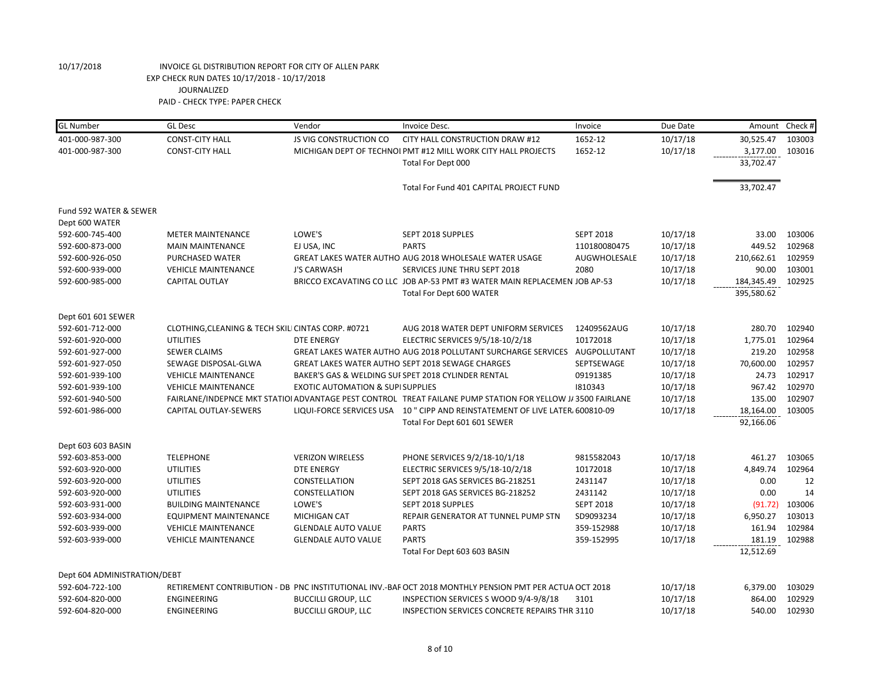| <b>GL Number</b>             | <b>GL Desc</b>                                     | Vendor                                       | Invoice Desc.                                                                                               | Invoice          | Due Date | Amount     | Check# |
|------------------------------|----------------------------------------------------|----------------------------------------------|-------------------------------------------------------------------------------------------------------------|------------------|----------|------------|--------|
| 401-000-987-300              | <b>CONST-CITY HALL</b>                             | JS VIG CONSTRUCTION CO                       | CITY HALL CONSTRUCTION DRAW #12                                                                             | 1652-12          | 10/17/18 | 30,525.47  | 103003 |
| 401-000-987-300              | <b>CONST-CITY HALL</b>                             |                                              | MICHIGAN DEPT OF TECHNOI PMT #12 MILL WORK CITY HALL PROJECTS                                               | 1652-12          | 10/17/18 | 3,177.00   | 103016 |
|                              |                                                    |                                              | Total For Dept 000                                                                                          |                  |          | 33,702.47  |        |
|                              |                                                    |                                              | Total For Fund 401 CAPITAL PROJECT FUND                                                                     |                  |          | 33,702.47  |        |
| Fund 592 WATER & SEWER       |                                                    |                                              |                                                                                                             |                  |          |            |        |
| Dept 600 WATER               |                                                    |                                              |                                                                                                             |                  |          |            |        |
| 592-600-745-400              | <b>METER MAINTENANCE</b>                           | LOWE'S                                       | SEPT 2018 SUPPLES                                                                                           | <b>SEPT 2018</b> | 10/17/18 | 33.00      | 103006 |
| 592-600-873-000              | <b>MAIN MAINTENANCE</b>                            | EJ USA, INC                                  | <b>PARTS</b>                                                                                                | 110180080475     | 10/17/18 | 449.52     | 102968 |
| 592-600-926-050              | PURCHASED WATER                                    |                                              | GREAT LAKES WATER AUTHO AUG 2018 WHOLESALE WATER USAGE                                                      | AUGWHOLESALE     | 10/17/18 | 210,662.61 | 102959 |
| 592-600-939-000              | <b>VEHICLE MAINTENANCE</b>                         | <b>J'S CARWASH</b>                           | SERVICES JUNE THRU SEPT 2018                                                                                | 2080             | 10/17/18 | 90.00      | 103001 |
| 592-600-985-000              | <b>CAPITAL OUTLAY</b>                              |                                              | BRICCO EXCAVATING CO LLC JOB AP-53 PMT #3 WATER MAIN REPLACEMEN JOB AP-53                                   |                  | 10/17/18 | 184,345.49 | 102925 |
|                              |                                                    |                                              | Total For Dept 600 WATER                                                                                    |                  |          | 395,580.62 |        |
|                              |                                                    |                                              |                                                                                                             |                  |          |            |        |
| Dept 601 601 SEWER           |                                                    |                                              |                                                                                                             |                  |          |            |        |
| 592-601-712-000              | CLOTHING, CLEANING & TECH SKILI CINTAS CORP. #0721 |                                              | AUG 2018 WATER DEPT UNIFORM SERVICES                                                                        | 12409562AUG      | 10/17/18 | 280.70     | 102940 |
| 592-601-920-000              | <b>UTILITIES</b>                                   | <b>DTE ENERGY</b>                            | ELECTRIC SERVICES 9/5/18-10/2/18                                                                            | 10172018         | 10/17/18 | 1,775.01   | 102964 |
| 592-601-927-000              | <b>SEWER CLAIMS</b>                                |                                              | GREAT LAKES WATER AUTHO AUG 2018 POLLUTANT SURCHARGE SERVICES AUGPOLLUTANT                                  |                  | 10/17/18 | 219.20     | 102958 |
| 592-601-927-050              | SEWAGE DISPOSAL-GLWA                               |                                              | GREAT LAKES WATER AUTHO SEPT 2018 SEWAGE CHARGES                                                            | SEPTSEWAGE       | 10/17/18 | 70,600.00  | 102957 |
| 592-601-939-100              | <b>VEHICLE MAINTENANCE</b>                         |                                              | BAKER'S GAS & WELDING SUI SPET 2018 CYLINDER RENTAL                                                         | 09191385         | 10/17/18 | 24.73      | 102917 |
| 592-601-939-100              | <b>VEHICLE MAINTENANCE</b>                         | <b>EXOTIC AUTOMATION &amp; SUPI SUPPLIES</b> |                                                                                                             | 1810343          | 10/17/18 | 967.42     | 102970 |
| 592-601-940-500              |                                                    |                                              | FAIRLANE/INDEPNCE MKT STATIOI ADVANTAGE PEST CONTROL TREAT FAILANE PUMP STATION FOR YELLOW J/ 3500 FAIRLANE |                  | 10/17/18 | 135.00     | 102907 |
| 592-601-986-000              | CAPITAL OUTLAY-SEWERS                              |                                              | LIQUI-FORCE SERVICES USA 10 " CIPP AND REINSTATEMENT OF LIVE LATER. 600810-09                               |                  | 10/17/18 | 18,164.00  | 103005 |
|                              |                                                    |                                              | Total For Dept 601 601 SEWER                                                                                |                  |          | 92,166.06  |        |
| Dept 603 603 BASIN           |                                                    |                                              |                                                                                                             |                  |          |            |        |
| 592-603-853-000              | <b>TELEPHONE</b>                                   | <b>VERIZON WIRELESS</b>                      | PHONE SERVICES 9/2/18-10/1/18                                                                               | 9815582043       | 10/17/18 | 461.27     | 103065 |
| 592-603-920-000              | <b>UTILITIES</b>                                   | <b>DTE ENERGY</b>                            | ELECTRIC SERVICES 9/5/18-10/2/18                                                                            | 10172018         | 10/17/18 | 4,849.74   | 102964 |
| 592-603-920-000              | <b>UTILITIES</b>                                   | CONSTELLATION                                | SEPT 2018 GAS SERVICES BG-218251                                                                            | 2431147          | 10/17/18 | 0.00       | 12     |
| 592-603-920-000              | <b>UTILITIES</b>                                   | CONSTELLATION                                | SEPT 2018 GAS SERVICES BG-218252                                                                            | 2431142          | 10/17/18 | 0.00       | 14     |
| 592-603-931-000              | <b>BUILDING MAINTENANCE</b>                        | LOWE'S                                       | SEPT 2018 SUPPLES                                                                                           | <b>SEPT 2018</b> | 10/17/18 | (91.72)    | 103006 |
| 592-603-934-000              | <b>EQUIPMENT MAINTENANCE</b>                       | MICHIGAN CAT                                 | REPAIR GENERATOR AT TUNNEL PUMP STN                                                                         | SD9093234        | 10/17/18 | 6,950.27   | 103013 |
| 592-603-939-000              | <b>VEHICLE MAINTENANCE</b>                         | <b>GLENDALE AUTO VALUE</b>                   | <b>PARTS</b>                                                                                                | 359-152988       | 10/17/18 | 161.94     | 102984 |
| 592-603-939-000              | <b>VEHICLE MAINTENANCE</b>                         | <b>GLENDALE AUTO VALUE</b>                   | <b>PARTS</b>                                                                                                | 359-152995       | 10/17/18 | 181.19     | 102988 |
|                              |                                                    |                                              | Total For Dept 603 603 BASIN                                                                                |                  |          | 12,512.69  |        |
| Dept 604 ADMINISTRATION/DEBT |                                                    |                                              |                                                                                                             |                  |          |            |        |
| 592-604-722-100              |                                                    |                                              | RETIREMENT CONTRIBUTION - DB PNC INSTITUTIONAL INV.-BAF OCT 2018 MONTHLY PENSION PMT PER ACTUA OCT 2018     |                  | 10/17/18 | 6,379.00   | 103029 |
| 592-604-820-000              | ENGINEERING                                        | <b>BUCCILLI GROUP, LLC</b>                   | INSPECTION SERVICES S WOOD 9/4-9/8/18                                                                       | 3101             | 10/17/18 | 864.00     | 102929 |
| 592-604-820-000              | ENGINEERING                                        | <b>BUCCILLI GROUP, LLC</b>                   | INSPECTION SERVICES CONCRETE REPAIRS THR 3110                                                               |                  | 10/17/18 | 540.00     | 102930 |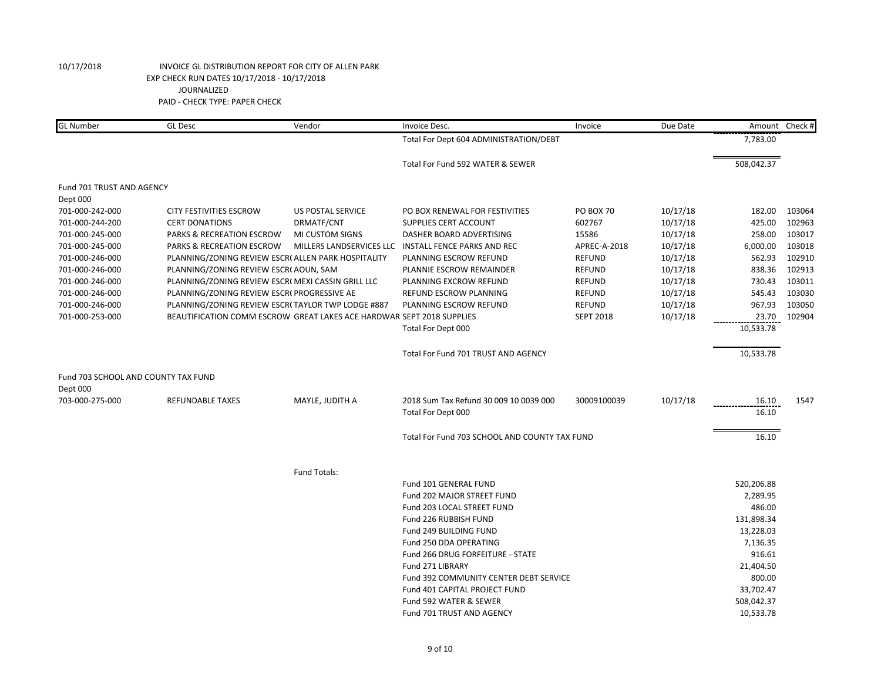| <b>GL Number</b>                    | <b>GL Desc</b>                                                        | Vendor                   | Invoice Desc.                                 | Invoice          | Due Date |            | Amount Check # |
|-------------------------------------|-----------------------------------------------------------------------|--------------------------|-----------------------------------------------|------------------|----------|------------|----------------|
|                                     |                                                                       |                          | Total For Dept 604 ADMINISTRATION/DEBT        |                  |          | 7,783.00   |                |
|                                     |                                                                       |                          | Total For Fund 592 WATER & SEWER              |                  |          | 508,042.37 |                |
| Fund 701 TRUST AND AGENCY           |                                                                       |                          |                                               |                  |          |            |                |
| Dept 000                            |                                                                       |                          |                                               |                  |          |            |                |
| 701-000-242-000                     | <b>CITY FESTIVITIES ESCROW</b>                                        | <b>US POSTAL SERVICE</b> | PO BOX RENEWAL FOR FESTIVITIES                | <b>PO BOX 70</b> | 10/17/18 | 182.00     | 103064         |
| 701-000-244-200                     | <b>CERT DONATIONS</b>                                                 | DRMATF/CNT               | <b>SUPPLIES CERT ACCOUNT</b>                  | 602767           | 10/17/18 | 425.00     | 102963         |
| 701-000-245-000                     | <b>PARKS &amp; RECREATION ESCROW</b>                                  | MI CUSTOM SIGNS          | DASHER BOARD ADVERTISING                      | 15586            | 10/17/18 | 258.00     | 103017         |
| 701-000-245-000                     | PARKS & RECREATION ESCROW                                             | MILLERS LANDSERVICES LLC | <b>INSTALL FENCE PARKS AND REC</b>            | APREC-A-2018     | 10/17/18 | 6,000.00   | 103018         |
| 701-000-246-000                     | PLANNING/ZONING REVIEW ESCR( ALLEN PARK HOSPITALITY                   |                          | PLANNING ESCROW REFUND                        | <b>REFUND</b>    | 10/17/18 | 562.93     | 102910         |
| 701-000-246-000                     | PLANNING/ZONING REVIEW ESCR(AOUN, SAM                                 |                          | PLANNIE ESCROW REMAINDER                      | <b>REFUND</b>    | 10/17/18 | 838.36     | 102913         |
| 701-000-246-000                     | PLANNING/ZONING REVIEW ESCR( MEXI CASSIN GRILL LLC                    |                          | PLANNING EXCROW REFUND                        | <b>REFUND</b>    | 10/17/18 | 730.43     | 103011         |
| 701-000-246-000                     | PLANNING/ZONING REVIEW ESCR( PROGRESSIVE AE                           |                          | REFUND ESCROW PLANNING                        | <b>REFUND</b>    | 10/17/18 | 545.43     | 103030         |
| 701-000-246-000                     | PLANNING/ZONING REVIEW ESCR(TAYLOR TWP LODGE #887                     |                          | PLANNING ESCROW REFUND                        | <b>REFUND</b>    | 10/17/18 | 967.93     | 103050         |
| 701-000-253-000                     | BEAUTIFICATION COMM ESCROW GREAT LAKES ACE HARDWAR SEPT 2018 SUPPLIES |                          |                                               | <b>SEPT 2018</b> | 10/17/18 | 23.70      | 102904         |
|                                     |                                                                       |                          | Total For Dept 000                            |                  |          | 10,533.78  |                |
|                                     |                                                                       |                          | Total For Fund 701 TRUST AND AGENCY           |                  |          | 10,533.78  |                |
| Fund 703 SCHOOL AND COUNTY TAX FUND |                                                                       |                          |                                               |                  |          |            |                |
| Dept 000                            |                                                                       |                          |                                               |                  |          |            |                |
| 703-000-275-000                     | REFUNDABLE TAXES                                                      | MAYLE, JUDITH A          | 2018 Sum Tax Refund 30 009 10 0039 000        | 30009100039      | 10/17/18 | 16.10      | 1547           |
|                                     |                                                                       |                          | Total For Dept 000                            |                  |          | 16.10      |                |
|                                     |                                                                       |                          | Total For Fund 703 SCHOOL AND COUNTY TAX FUND |                  |          | 16.10      |                |
|                                     |                                                                       |                          |                                               |                  |          |            |                |
|                                     |                                                                       | <b>Fund Totals:</b>      |                                               |                  |          |            |                |
|                                     |                                                                       |                          | Fund 101 GENERAL FUND                         |                  |          | 520,206.88 |                |
|                                     |                                                                       |                          | Fund 202 MAJOR STREET FUND                    |                  |          | 2,289.95   |                |
|                                     |                                                                       |                          | Fund 203 LOCAL STREET FUND                    |                  |          | 486.00     |                |
|                                     |                                                                       |                          | Fund 226 RUBBISH FUND                         |                  |          | 131,898.34 |                |
|                                     |                                                                       |                          | Fund 249 BUILDING FUND                        |                  |          | 13,228.03  |                |
|                                     |                                                                       |                          | Fund 250 DDA OPERATING                        |                  |          | 7,136.35   |                |
|                                     |                                                                       |                          | Fund 266 DRUG FORFEITURE - STATE              |                  |          | 916.61     |                |
|                                     |                                                                       |                          | Fund 271 LIBRARY                              |                  |          | 21,404.50  |                |
|                                     |                                                                       |                          | Fund 392 COMMUNITY CENTER DEBT SERVICE        |                  |          | 800.00     |                |
|                                     |                                                                       |                          | Fund 401 CAPITAL PROJECT FUND                 |                  |          | 33,702.47  |                |
|                                     |                                                                       |                          | Fund 592 WATER & SEWER                        |                  |          | 508,042.37 |                |
|                                     |                                                                       |                          | Fund 701 TRUST AND AGENCY                     |                  |          | 10,533.78  |                |